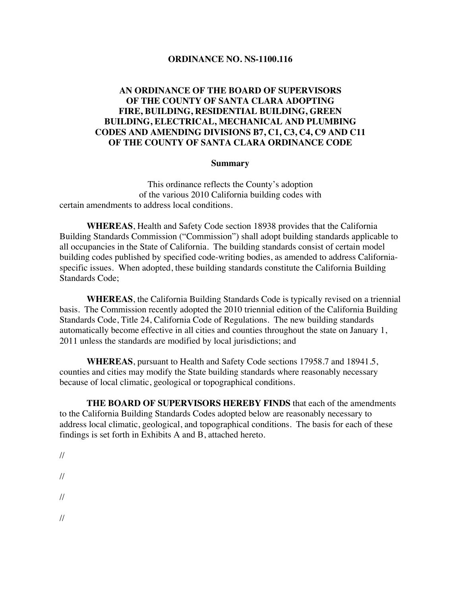#### **ORDINANCE NO. NS-1100.116**

#### **AN ORDINANCE OF THE BOARD OF SUPERVISORS OF THE COUNTY OF SANTA CLARA ADOPTING FIRE, BUILDING, RESIDENTIAL BUILDING, GREEN BUILDING, ELECTRICAL, MECHANICAL AND PLUMBING CODES AND AMENDING DIVISIONS B7, C1, C3, C4, C9 AND C11 OF THE COUNTY OF SANTA CLARA ORDINANCE CODE**

#### **Summary**

This ordinance reflects the County's adoption of the various 2010 California building codes with certain amendments to address local conditions.

**WHEREAS**, Health and Safety Code section 18938 provides that the California Building Standards Commission ("Commission") shall adopt building standards applicable to all occupancies in the State of California. The building standards consist of certain model building codes published by specified code-writing bodies, as amended to address Californiaspecific issues. When adopted, these building standards constitute the California Building Standards Code;

**WHEREAS**, the California Building Standards Code is typically revised on a triennial basis. The Commission recently adopted the 2010 triennial edition of the California Building Standards Code, Title 24, California Code of Regulations. The new building standards automatically become effective in all cities and counties throughout the state on January 1, 2011 unless the standards are modified by local jurisdictions; and

**WHEREAS**, pursuant to Health and Safety Code sections 17958.7 and 18941.5, counties and cities may modify the State building standards where reasonably necessary because of local climatic, geological or topographical conditions.

**THE BOARD OF SUPERVISORS HEREBY FINDS** that each of the amendments to the California Building Standards Codes adopted below are reasonably necessary to address local climatic, geological, and topographical conditions. The basis for each of these findings is set forth in Exhibits A and B, attached hereto.

// // // //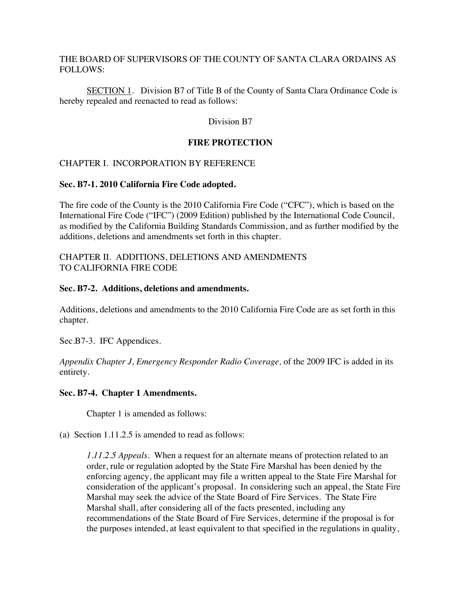#### THE BOARD OF SUPERVISORS OF THE COUNTY OF SANTA CLARA ORDAINS AS FOLLOWS:

SECTION 1. Division B7 of Title B of the County of Santa Clara Ordinance Code is hereby repealed and reenacted to read as follows:

Division B7

### **FIRE PROTECTION**

#### CHAPTER I. INCORPORATION BY REFERENCE

#### **Sec. B7-1. 2010 California Fire Code adopted.**

The fire code of the County is the 2010 California Fire Code ("CFC"), which is based on the International Fire Code ("IFC") (2009 Edition) published by the International Code Council, as modified by the California Building Standards Commission, and as further modified by the additions, deletions and amendments set forth in this chapter.

#### CHAPTER II. ADDITIONS, DELETIONS AND AMENDMENTS TO CALIFORNIA FIRE CODE

#### **Sec. B7-2. Additions, deletions and amendments.**

Additions, deletions and amendments to the 2010 California Fire Code are as set forth in this chapter.

Sec.B7-3. IFC Appendices.

*Appendix Chapter J, Emergency Responder Radio Coverage,* of the 2009 IFC is added in its entirety.

#### **Sec. B7-4. Chapter 1 Amendments.**

Chapter 1 is amended as follows:

(a) Section 1.11.2.5 is amended to read as follows:

*1.11.2.5 Appeals.* When a request for an alternate means of protection related to an order, rule or regulation adopted by the State Fire Marshal has been denied by the enforcing agency, the applicant may file a written appeal to the State Fire Marshal for consideration of the applicant's proposal. In considering such an appeal, the State Fire Marshal may seek the advice of the State Board of Fire Services. The State Fire Marshal shall, after considering all of the facts presented, including any recommendations of the State Board of Fire Services, determine if the proposal is for the purposes intended, at least equivalent to that specified in the regulations in quality,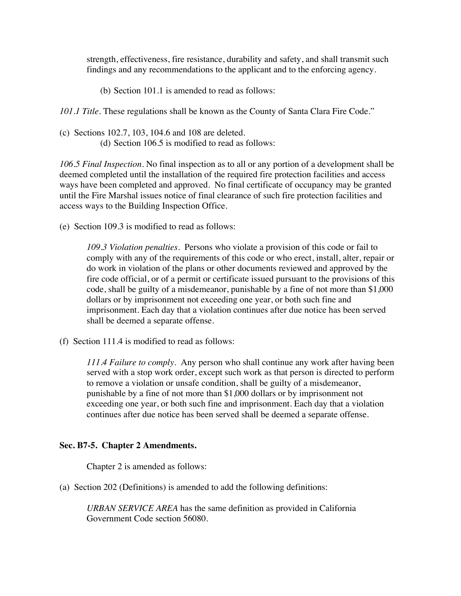strength, effectiveness, fire resistance, durability and safety, and shall transmit such findings and any recommendations to the applicant and to the enforcing agency.

(b) Section 101.1 is amended to read as follows:

*101.1 Title.* These regulations shall be known as the County of Santa Clara Fire Code."

(c) Sections 102.7, 103, 104.6 and 108 are deleted. (d) Section 106.5 is modified to read as follows:

*106.5 Final Inspection.* No final inspection as to all or any portion of a development shall be deemed completed until the installation of the required fire protection facilities and access ways have been completed and approved. No final certificate of occupancy may be granted until the Fire Marshal issues notice of final clearance of such fire protection facilities and access ways to the Building Inspection Office.

(e) Section 109.3 is modified to read as follows:

*109.3 Violation penalties.* Persons who violate a provision of this code or fail to comply with any of the requirements of this code or who erect, install, alter, repair or do work in violation of the plans or other documents reviewed and approved by the fire code official, or of a permit or certificate issued pursuant to the provisions of this code, shall be guilty of a misdemeanor, punishable by a fine of not more than \$1,000 dollars or by imprisonment not exceeding one year, or both such fine and imprisonment. Each day that a violation continues after due notice has been served shall be deemed a separate offense.

(f) Section 111.4 is modified to read as follows:

*111.4 Failure to comply.* Any person who shall continue any work after having been served with a stop work order, except such work as that person is directed to perform to remove a violation or unsafe condition, shall be guilty of a misdemeanor, punishable by a fine of not more than \$1,000 dollars or by imprisonment not exceeding one year, or both such fine and imprisonment. Each day that a violation continues after due notice has been served shall be deemed a separate offense.

#### **Sec. B7-5. Chapter 2 Amendments.**

Chapter 2 is amended as follows:

(a) Section 202 (Definitions) is amended to add the following definitions:

*URBAN SERVICE AREA* has the same definition as provided in California Government Code section 56080.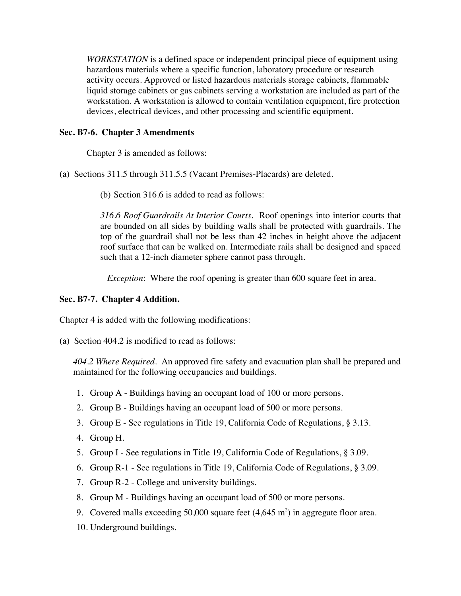*WORKSTATION* is a defined space or independent principal piece of equipment using hazardous materials where a specific function, laboratory procedure or research activity occurs. Approved or listed hazardous materials storage cabinets, flammable liquid storage cabinets or gas cabinets serving a workstation are included as part of the workstation. A workstation is allowed to contain ventilation equipment, fire protection devices, electrical devices, and other processing and scientific equipment.

#### **Sec. B7-6. Chapter 3 Amendments**

Chapter 3 is amended as follows:

(a) Sections 311.5 through 311.5.5 (Vacant Premises-Placards) are deleted.

(b) Section 316.6 is added to read as follows:

*316.6 Roof Guardrails At Interior Courts*. Roof openings into interior courts that are bounded on all sides by building walls shall be protected with guardrails. The top of the guardrail shall not be less than 42 inches in height above the adjacent roof surface that can be walked on. Intermediate rails shall be designed and spaced such that a 12-inch diameter sphere cannot pass through.

*Exception*: Where the roof opening is greater than 600 square feet in area.

#### **Sec. B7-7. Chapter 4 Addition.**

Chapter 4 is added with the following modifications:

(a) Section 404.2 is modified to read as follows:

*404.2 Where Required.*An approved fire safety and evacuation plan shall be prepared and maintained for the following occupancies and buildings.

- 1. Group A Buildings having an occupant load of 100 or more persons.
- 2. Group B Buildings having an occupant load of 500 or more persons.
- 3. Group E See regulations in Title 19, California Code of Regulations, § 3.13.
- 4. Group H.
- 5. Group I See regulations in Title 19, California Code of Regulations, § 3.09.
- 6. Group R-1 See regulations in Title 19, California Code of Regulations, § 3.09.
- 7. Group R-2 College and university buildings.
- 8. Group M Buildings having an occupant load of 500 or more persons.
- 9. Covered malls exceeding 50,000 square feet  $(4,645 \text{ m}^2)$  in aggregate floor area.
- 10. Underground buildings.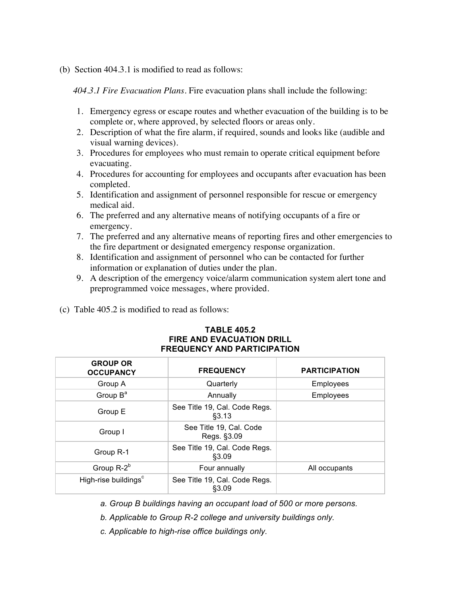(b) Section 404.3.1 is modified to read as follows:

*404.3.1 Fire Evacuation Plans.* Fire evacuation plans shall include the following:

- 1. Emergency egress or escape routes and whether evacuation of the building is to be complete or, where approved, by selected floors or areas only.
- 2. Description of what the fire alarm, if required, sounds and looks like (audible and visual warning devices).
- 3. Procedures for employees who must remain to operate critical equipment before evacuating.
- 4. Procedures for accounting for employees and occupants after evacuation has been completed.
- 5. Identification and assignment of personnel responsible for rescue or emergency medical aid.
- 6. The preferred and any alternative means of notifying occupants of a fire or emergency.
- 7. The preferred and any alternative means of reporting fires and other emergencies to the fire department or designated emergency response organization.
- 8. Identification and assignment of personnel who can be contacted for further information or explanation of duties under the plan.
- 9. A description of the emergency voice/alarm communication system alert tone and preprogrammed voice messages, where provided.
- (c) Table 405.2 is modified to read as follows:

| <b>FREQUENCY AND PARTICIPATION</b>  |                                         |                      |  |  |
|-------------------------------------|-----------------------------------------|----------------------|--|--|
| <b>GROUP OR</b><br><b>OCCUPANCY</b> | <b>FREQUENCY</b>                        | <b>PARTICIPATION</b> |  |  |
| Group A                             | Quarterly                               | Employees            |  |  |
| Group $B^a$                         | Annually                                | Employees            |  |  |
| Group E                             | See Title 19, Cal. Code Regs.<br>§3.13  |                      |  |  |
| Group I                             | See Title 19, Cal. Code<br>Regs. §3.09  |                      |  |  |
| Group R-1                           | See Title 19, Cal. Code Regs.<br>\$3.09 |                      |  |  |
| Group $R-2^b$                       | Four annually                           | All occupants        |  |  |
| High-rise buildings <sup>c</sup>    | See Title 19, Cal. Code Regs.<br>\$3.09 |                      |  |  |

# **TABLE 405.2 FIRE AND EVACUATION DRILL**

- *a. Group B buildings having an occupant load of 500 or more persons.*
- *b. Applicable to Group R-2 college and university buildings only.*
- *c. Applicable to high-rise office buildings only.*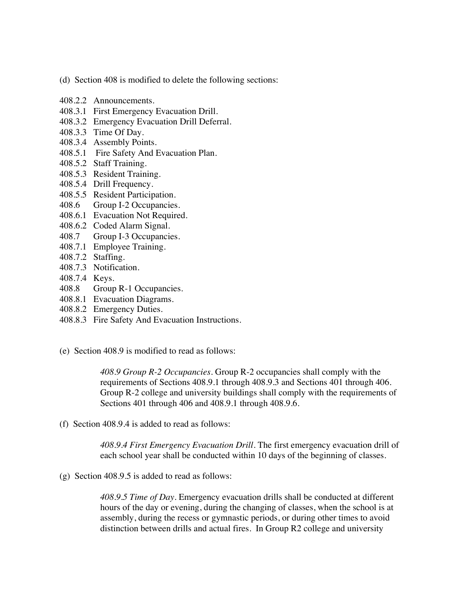- (d) Section 408 is modified to delete the following sections:
- 408.2.2 Announcements.
- 408.3.1 First Emergency Evacuation Drill.
- 408.3.2 Emergency Evacuation Drill Deferral.
- 408.3.3 Time Of Day.
- 408.3.4 Assembly Points.
- 408.5.1 Fire Safety And Evacuation Plan.
- 408.5.2 Staff Training.
- 408.5.3 Resident Training.
- 408.5.4 Drill Frequency.
- 408.5.5 Resident Participation.
- 408.6 Group I-2 Occupancies.
- 408.6.1 Evacuation Not Required.
- 408.6.2 Coded Alarm Signal.
- 408.7 Group I-3 Occupancies.
- 408.7.1 Employee Training.
- 408.7.2 Staffing.
- 408.7.3 Notification.
- 408.7.4 Keys.
- 408.8 Group R-1 Occupancies.
- 408.8.1 Evacuation Diagrams.
- 408.8.2 Emergency Duties.
- 408.8.3 Fire Safety And Evacuation Instructions.
- (e) Section 408.9 is modified to read as follows:

*408.9 Group R-2 Occupancies*. Group R-2 occupancies shall comply with the requirements of Sections 408.9.1 through 408.9.3 and Sections 401 through 406. Group R-2 college and university buildings shall comply with the requirements of Sections 401 through 406 and 408.9.1 through 408.9.6.

(f) Section 408.9.4 is added to read as follows:

*408.9.4 First Emergency Evacuation Drill.* The first emergency evacuation drill of each school year shall be conducted within 10 days of the beginning of classes.

(g) Section 408.9.5 is added to read as follows:

*408.9.5 Time of Day.* Emergency evacuation drills shall be conducted at different hours of the day or evening, during the changing of classes, when the school is at assembly, during the recess or gymnastic periods, or during other times to avoid distinction between drills and actual fires. In Group R2 college and university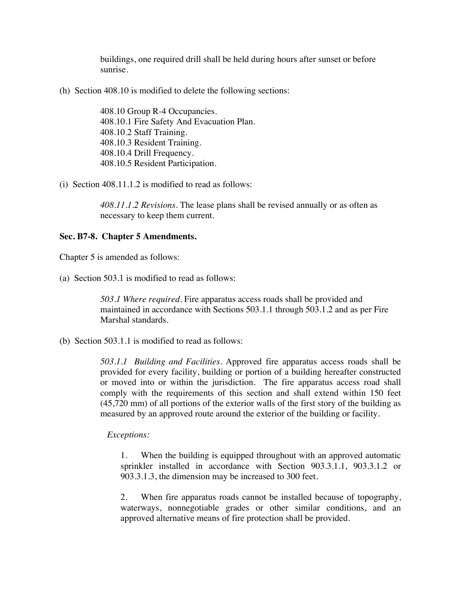buildings, one required drill shall be held during hours after sunset or before sunrise.

(h) Section 408.10 is modified to delete the following sections:

408.10 Group R-4 Occupancies. 408.10.1 Fire Safety And Evacuation Plan. 408.10.2 Staff Training. 408.10.3 Resident Training. 408.10.4 Drill Frequency. 408.10.5 Resident Participation.

(i) Section 408.11.1.2 is modified to read as follows:

*408.11.1.2 Revisions.* The lease plans shall be revised annually or as often as necessary to keep them current.

#### **Sec. B7-8. Chapter 5 Amendments.**

Chapter 5 is amended as follows:

(a) Section 503.1 is modified to read as follows:

*503.1 Where required.* Fire apparatus access roads shall be provided and maintained in accordance with Sections 503.1.1 through 503.1.2 and as per Fire Marshal standards.

(b) Section 503.1.1 is modified to read as follows:

*503.1.1 Building and Facilities.* Approved fire apparatus access roads shall be provided for every facility, building or portion of a building hereafter constructed or moved into or within the jurisdiction. The fire apparatus access road shall comply with the requirements of this section and shall extend within 150 feet (45,720 mm) of all portions of the exterior walls of the first story of the building as measured by an approved route around the exterior of the building or facility.

#### *Exceptions:*

1. When the building is equipped throughout with an approved automatic sprinkler installed in accordance with Section 903.3.1.1, 903.3.1.2 or 903.3.1.3, the dimension may be increased to 300 feet.

2. When fire apparatus roads cannot be installed because of topography, waterways, nonnegotiable grades or other similar conditions, and an approved alternative means of fire protection shall be provided.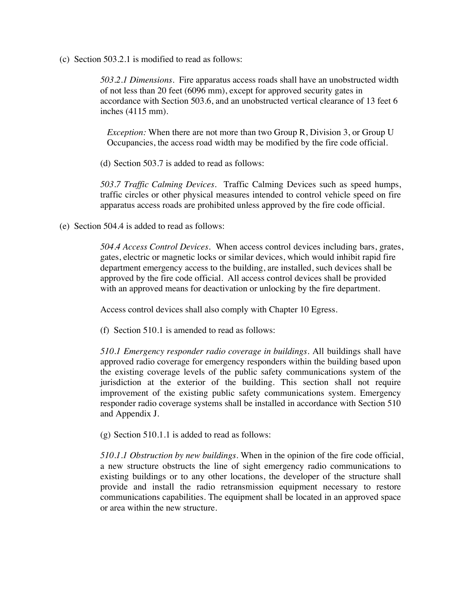(c) Section 503.2.1 is modified to read as follows:

*503.2.1 Dimensions.*Fire apparatus access roads shall have an unobstructed width of not less than 20 feet (6096 mm), except for approved security gates in accordance with Section 503.6, and an unobstructed vertical clearance of 13 feet 6 inches (4115 mm).

*Exception:* When there are not more than two Group R, Division 3, or Group U Occupancies, the access road width may be modified by the fire code official.

(d) Section 503.7 is added to read as follows:

*503.7 Traffic Calming Devices*. Traffic Calming Devices such as speed humps, traffic circles or other physical measures intended to control vehicle speed on fire apparatus access roads are prohibited unless approved by the fire code official.

(e) Section 504.4 is added to read as follows:

*504.4 Access Control Devices.*When access control devices including bars, grates, gates, electric or magnetic locks or similar devices, which would inhibit rapid fire department emergency access to the building, are installed, such devices shall be approved by the fire code official. All access control devices shall be provided with an approved means for deactivation or unlocking by the fire department.

Access control devices shall also comply with Chapter 10 Egress.

(f) Section 510.1 is amended to read as follows:

*510.1 Emergency responder radio coverage in buildings*. All buildings shall have approved radio coverage for emergency responders within the building based upon the existing coverage levels of the public safety communications system of the jurisdiction at the exterior of the building. This section shall not require improvement of the existing public safety communications system. Emergency responder radio coverage systems shall be installed in accordance with Section 510 and Appendix J.

(g) Section 510.1.1 is added to read as follows:

*510.1.1 Obstruction by new buildings*. When in the opinion of the fire code official, a new structure obstructs the line of sight emergency radio communications to existing buildings or to any other locations, the developer of the structure shall provide and install the radio retransmission equipment necessary to restore communications capabilities. The equipment shall be located in an approved space or area within the new structure.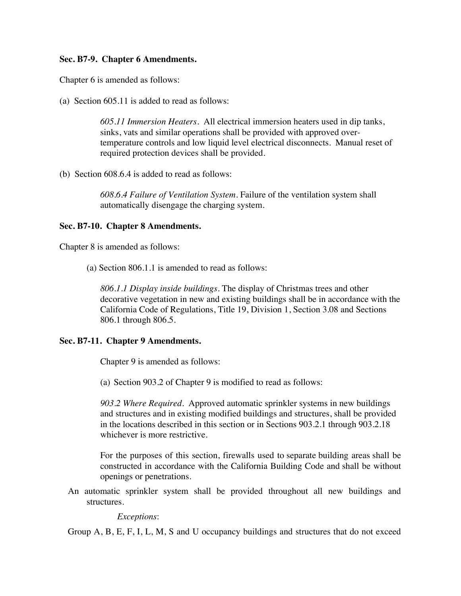#### **Sec. B7-9. Chapter 6 Amendments.**

Chapter 6 is amended as follows:

(a) Section 605.11 is added to read as follows:

*605.11 Immersion Heaters.* All electrical immersion heaters used in dip tanks, sinks, vats and similar operations shall be provided with approved overtemperature controls and low liquid level electrical disconnects. Manual reset of required protection devices shall be provided.

(b) Section 608.6.4 is added to read as follows:

*608.6.4 Failure of Ventilation System.* Failure of the ventilation system shall automatically disengage the charging system.

#### **Sec. B7-10. Chapter 8 Amendments.**

Chapter 8 is amended as follows:

(a) Section 806.1.1 is amended to read as follows:

*806.1.1 Display inside buildings.* The display of Christmas trees and other decorative vegetation in new and existing buildings shall be in accordance with the California Code of Regulations, Title 19, Division 1, Section 3.08 and Sections 806.1 through 806.5.

#### **Sec. B7-11. Chapter 9 Amendments.**

Chapter 9 is amended as follows:

(a) Section 903.2 of Chapter 9 is modified to read as follows:

*903.2 Where Required.* Approved automatic sprinkler systems in new buildings and structures and in existing modified buildings and structures, shall be provided in the locations described in this section or in Sections 903.2.1 through 903.2.18 whichever is more restrictive.

For the purposes of this section, firewalls used to separate building areas shall be constructed in accordance with the California Building Code and shall be without openings or penetrations.

An automatic sprinkler system shall be provided throughout all new buildings and structures.

*Exceptions*:

Group A, B, E, F, I, L, M, S and U occupancy buildings and structures that do not exceed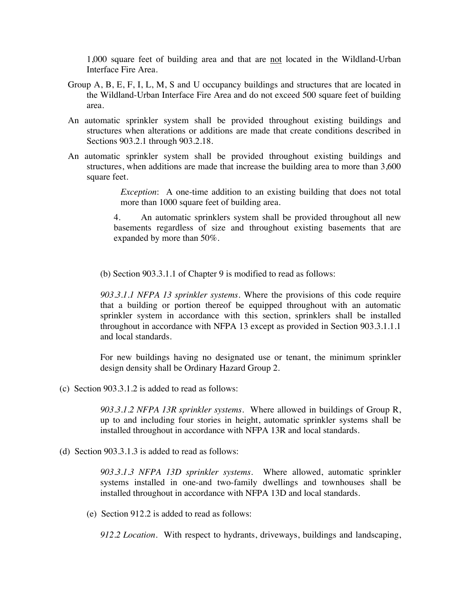1,000 square feet of building area and that are not located in the Wildland-Urban Interface Fire Area.

- Group A, B, E, F, I, L, M, S and U occupancy buildings and structures that are located in the Wildland-Urban Interface Fire Area and do not exceed 500 square feet of building area.
- An automatic sprinkler system shall be provided throughout existing buildings and structures when alterations or additions are made that create conditions described in Sections 903.2.1 through 903.2.18.
- An automatic sprinkler system shall be provided throughout existing buildings and structures, when additions are made that increase the building area to more than 3,600 square feet.

*Exception*: A one-time addition to an existing building that does not total more than 1000 square feet of building area.

4. An automatic sprinklers system shall be provided throughout all new basements regardless of size and throughout existing basements that are expanded by more than 50%.

(b) Section 903.3.1.1 of Chapter 9 is modified to read as follows:

*903.3.1.1 NFPA 13 sprinkler systems.* Where the provisions of this code require that a building or portion thereof be equipped throughout with an automatic sprinkler system in accordance with this section, sprinklers shall be installed throughout in accordance with NFPA 13 except as provided in Section 903.3.1.1.1 and local standards.

For new buildings having no designated use or tenant, the minimum sprinkler design density shall be Ordinary Hazard Group 2.

(c) Section 903.3.1.2 is added to read as follows:

*903.3.1.2 NFPA 13R sprinkler systems*. Where allowed in buildings of Group R, up to and including four stories in height, automatic sprinkler systems shall be installed throughout in accordance with NFPA 13R and local standards.

(d) Section 903.3.1.3 is added to read as follows:

*903.3.1.3 NFPA 13D sprinkler systems.* Where allowed, automatic sprinkler systems installed in one-and two-family dwellings and townhouses shall be installed throughout in accordance with NFPA 13D and local standards.

(e) Section 912.2 is added to read as follows:

*912.2 Location.* With respect to hydrants, driveways, buildings and landscaping,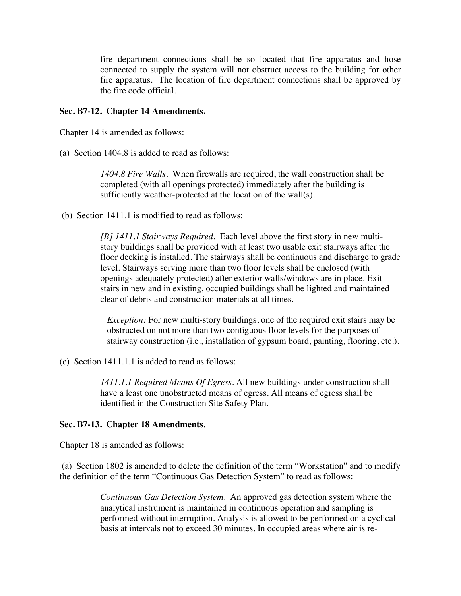fire department connections shall be so located that fire apparatus and hose connected to supply the system will not obstruct access to the building for other fire apparatus. The location of fire department connections shall be approved by the fire code official.

#### **Sec. B7-12. Chapter 14 Amendments.**

Chapter 14 is amended as follows:

(a) Section 1404.8 is added to read as follows:

*1404.8 Fire Walls.*When firewalls are required, the wall construction shall be completed (with all openings protected) immediately after the building is sufficiently weather-protected at the location of the wall(s).

(b) Section 1411.1 is modified to read as follows:

*[B] 1411.1 Stairways Required.* Each level above the first story in new multistory buildings shall be provided with at least two usable exit stairways after the floor decking is installed. The stairways shall be continuous and discharge to grade level. Stairways serving more than two floor levels shall be enclosed (with openings adequately protected) after exterior walls/windows are in place. Exit stairs in new and in existing, occupied buildings shall be lighted and maintained clear of debris and construction materials at all times.

*Exception:* For new multi-story buildings, one of the required exit stairs may be obstructed on not more than two contiguous floor levels for the purposes of stairway construction (i.e., installation of gypsum board, painting, flooring, etc.).

(c) Section 1411.1.1 is added to read as follows:

*1411.1.1 Required Means Of Egress.* All new buildings under construction shall have a least one unobstructed means of egress. All means of egress shall be identified in the Construction Site Safety Plan.

#### **Sec. B7-13. Chapter 18 Amendments.**

Chapter 18 is amended as follows:

(a) Section 1802 is amended to delete the definition of the term "Workstation" and to modify the definition of the term "Continuous Gas Detection System" to read as follows:

> *Continuous Gas Detection System.* An approved gas detection system where the analytical instrument is maintained in continuous operation and sampling is performed without interruption. Analysis is allowed to be performed on a cyclical basis at intervals not to exceed 30 minutes. In occupied areas where air is re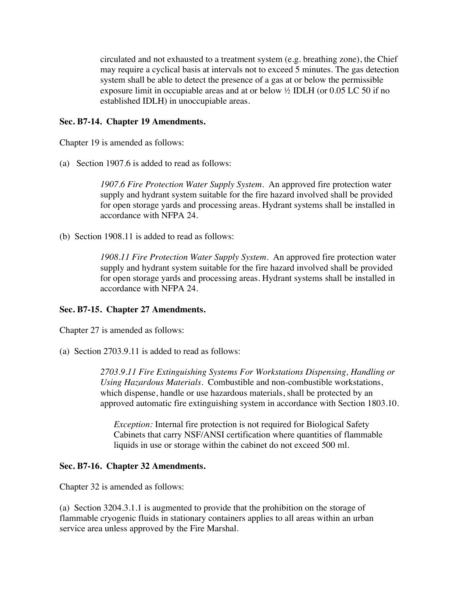circulated and not exhausted to a treatment system (e.g. breathing zone), the Chief may require a cyclical basis at intervals not to exceed 5 minutes. The gas detection system shall be able to detect the presence of a gas at or below the permissible exposure limit in occupiable areas and at or below ½ IDLH (or 0.05 LC 50 if no established IDLH) in unoccupiable areas.

#### **Sec. B7-14. Chapter 19 Amendments.**

Chapter 19 is amended as follows:

(a) Section 1907.6 is added to read as follows:

*1907.6 Fire Protection Water Supply System.*An approved fire protection water supply and hydrant system suitable for the fire hazard involved shall be provided for open storage yards and processing areas. Hydrant systems shall be installed in accordance with NFPA 24.

(b) Section 1908.11 is added to read as follows:

*1908.11 Fire Protection Water Supply System.*An approved fire protection water supply and hydrant system suitable for the fire hazard involved shall be provided for open storage yards and processing areas. Hydrant systems shall be installed in accordance with NFPA 24.

#### **Sec. B7-15. Chapter 27 Amendments.**

Chapter 27 is amended as follows:

(a) Section 2703.9.11 is added to read as follows:

*2703.9.11 Fire Extinguishing Systems For Workstations Dispensing, Handling or Using Hazardous Materials.*Combustible and non-combustible workstations, which dispense, handle or use hazardous materials, shall be protected by an approved automatic fire extinguishing system in accordance with Section 1803.10.

*Exception:* Internal fire protection is not required for Biological Safety Cabinets that carry NSF/ANSI certification where quantities of flammable liquids in use or storage within the cabinet do not exceed 500 ml.

#### **Sec. B7-16. Chapter 32 Amendments.**

Chapter 32 is amended as follows:

(a) Section 3204.3.1.1 is augmented to provide that the prohibition on the storage of flammable cryogenic fluids in stationary containers applies to all areas within an urban service area unless approved by the Fire Marshal.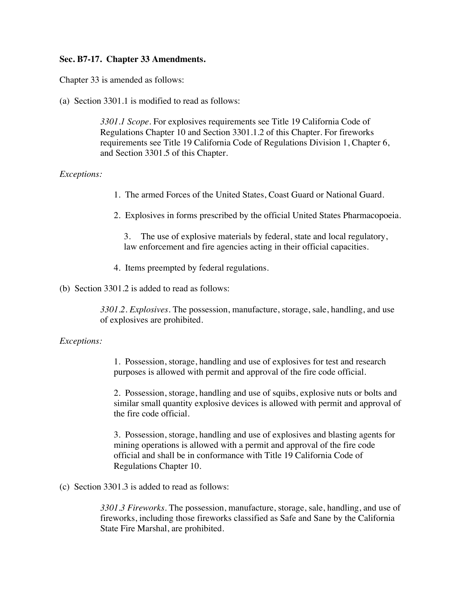#### **Sec. B7-17. Chapter 33 Amendments.**

Chapter 33 is amended as follows:

(a) Section 3301.1 is modified to read as follows:

*3301.1 Scope.* For explosives requirements see Title 19 California Code of Regulations Chapter 10 and Section 3301.1.2 of this Chapter. For fireworks requirements see Title 19 California Code of Regulations Division 1, Chapter 6, and Section 3301.5 of this Chapter.

#### *Exceptions:*

- 1. The armed Forces of the United States, Coast Guard or National Guard.
- 2. Explosives in forms prescribed by the official United States Pharmacopoeia.

3. The use of explosive materials by federal, state and local regulatory, law enforcement and fire agencies acting in their official capacities.

- 4. Items preempted by federal regulations.
- (b) Section 3301.2 is added to read as follows:

*3301.2. Explosives.* The possession, manufacture, storage, sale, handling, and use of explosives are prohibited.

#### *Exceptions:*

1. Possession, storage, handling and use of explosives for test and research purposes is allowed with permit and approval of the fire code official.

2. Possession, storage, handling and use of squibs, explosive nuts or bolts and similar small quantity explosive devices is allowed with permit and approval of the fire code official.

3. Possession, storage, handling and use of explosives and blasting agents for mining operations is allowed with a permit and approval of the fire code official and shall be in conformance with Title 19 California Code of Regulations Chapter 10.

(c) Section 3301.3 is added to read as follows:

*3301.3 Fireworks.* The possession, manufacture, storage, sale, handling, and use of fireworks, including those fireworks classified as Safe and Sane by the California State Fire Marshal, are prohibited.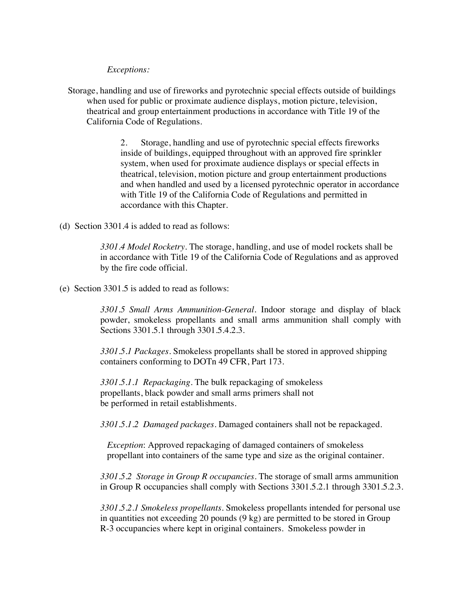*Exceptions:*

Storage, handling and use of fireworks and pyrotechnic special effects outside of buildings when used for public or proximate audience displays, motion picture, television, theatrical and group entertainment productions in accordance with Title 19 of the California Code of Regulations.

> 2. Storage, handling and use of pyrotechnic special effects fireworks inside of buildings, equipped throughout with an approved fire sprinkler system, when used for proximate audience displays or special effects in theatrical, television, motion picture and group entertainment productions and when handled and used by a licensed pyrotechnic operator in accordance with Title 19 of the California Code of Regulations and permitted in accordance with this Chapter.

(d) Section 3301.4 is added to read as follows:

*3301.4 Model Rocketry.* The storage, handling, and use of model rockets shall be in accordance with Title 19 of the California Code of Regulations and as approved by the fire code official.

(e) Section 3301.5 is added to read as follows:

*3301.5 Small Arms Ammunition-General.* Indoor storage and display of black powder, smokeless propellants and small arms ammunition shall comply with Sections 3301.5.1 through 3301.5.4.2.3.

*3301.5.1 Packages*. Smokeless propellants shall be stored in approved shipping containers conforming to DOTn 49 CFR, Part 173.

*3301.5.1.1 Repackaging.* The bulk repackaging of smokeless propellants, black powder and small arms primers shall not be performed in retail establishments.

*3301.5.1.2 Damaged packages*. Damaged containers shall not be repackaged.

*Exception*: Approved repackaging of damaged containers of smokeless propellant into containers of the same type and size as the original container.

*3301.5.2 Storage in Group R occupancies*. The storage of small arms ammunition in Group R occupancies shall comply with Sections 3301.5.2.1 through 3301.5.2.3.

*3301.5.2.1 Smokeless propellants.* Smokeless propellants intended for personal use in quantities not exceeding 20 pounds (9 kg) are permitted to be stored in Group R-3 occupancies where kept in original containers. Smokeless powder in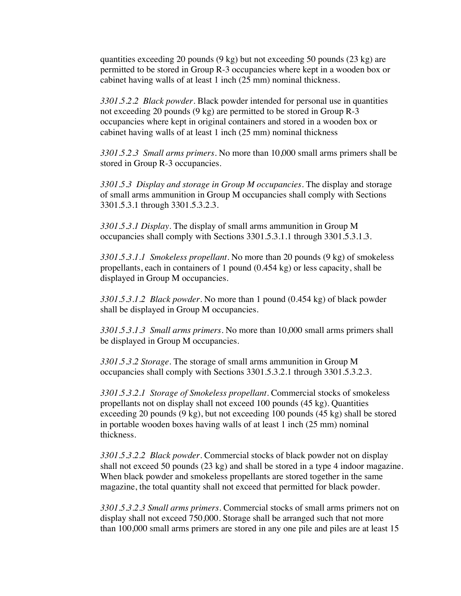quantities exceeding 20 pounds (9 kg) but not exceeding 50 pounds (23 kg) are permitted to be stored in Group R-3 occupancies where kept in a wooden box or cabinet having walls of at least 1 inch (25 mm) nominal thickness.

*3301.5.2.2 Black powder.* Black powder intended for personal use in quantities not exceeding 20 pounds (9 kg) are permitted to be stored in Group R-3 occupancies where kept in original containers and stored in a wooden box or cabinet having walls of at least 1 inch (25 mm) nominal thickness

*3301.5.2.3 Small arms primers.* No more than 10,000 small arms primers shall be stored in Group R-3 occupancies.

*3301.5.3 Display and storage in Group M occupancies.* The display and storage of small arms ammunition in Group M occupancies shall comply with Sections 3301.5.3.1 through 3301.5.3.2.3.

*3301.5.3.1 Display.* The display of small arms ammunition in Group M occupancies shall comply with Sections 3301.5.3.1.1 through 3301.5.3.1.3.

*3301.5.3.1.1 Smokeless propellant.* No more than 20 pounds (9 kg) of smokeless propellants, each in containers of 1 pound (0.454 kg) or less capacity, shall be displayed in Group M occupancies.

*3301.5.3.1.2 Black powder.* No more than 1 pound (0.454 kg) of black powder shall be displayed in Group M occupancies.

*3301.5.3.1.3 Small arms primers.* No more than 10,000 small arms primers shall be displayed in Group M occupancies.

*3301.5.3.2 Storage.* The storage of small arms ammunition in Group M occupancies shall comply with Sections 3301.5.3.2.1 through 3301.5.3.2.3.

*3301.5.3.2.1 Storage of Smokeless propellant.* Commercial stocks of smokeless propellants not on display shall not exceed 100 pounds (45 kg). Quantities exceeding 20 pounds (9 kg), but not exceeding 100 pounds (45 kg) shall be stored in portable wooden boxes having walls of at least 1 inch (25 mm) nominal thickness.

*3301.5.3.2.2 Black powder.* Commercial stocks of black powder not on display shall not exceed 50 pounds (23 kg) and shall be stored in a type 4 indoor magazine. When black powder and smokeless propellants are stored together in the same magazine, the total quantity shall not exceed that permitted for black powder.

*3301.5.3.2.3 Small arms primers.* Commercial stocks of small arms primers not on display shall not exceed 750,000. Storage shall be arranged such that not more than 100,000 small arms primers are stored in any one pile and piles are at least 15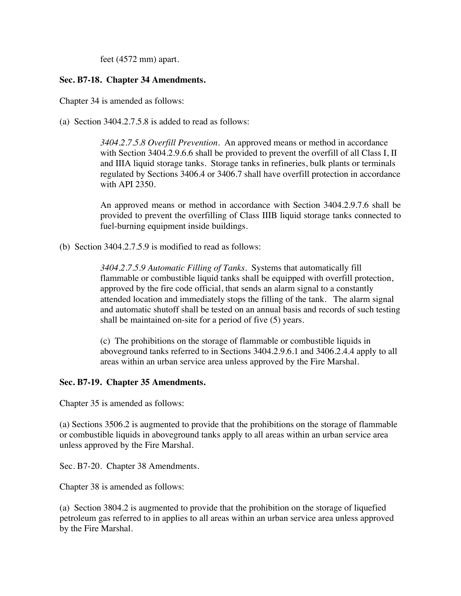feet (4572 mm) apart.

#### **Sec. B7-18. Chapter 34 Amendments.**

Chapter 34 is amended as follows:

(a) Section 3404.2.7.5.8 is added to read as follows:

*3404.2.7.5.8 Overfill Prevention.* An approved means or method in accordance with Section 3404.2.9.6.6 shall be provided to prevent the overfill of all Class I, II and IIIA liquid storage tanks. Storage tanks in refineries, bulk plants or terminals regulated by Sections 3406.4 or 3406.7 shall have overfill protection in accordance with API 2350.

An approved means or method in accordance with Section 3404.2.9.7.6 shall be provided to prevent the overfilling of Class IIIB liquid storage tanks connected to fuel-burning equipment inside buildings.

(b) Section 3404.2.7.5.9 is modified to read as follows:

*3404.2.7.5.9 Automatic Filling of Tanks.*Systems that automatically fill flammable or combustible liquid tanks shall be equipped with overfill protection, approved by the fire code official, that sends an alarm signal to a constantly attended location and immediately stops the filling of the tank. The alarm signal and automatic shutoff shall be tested on an annual basis and records of such testing shall be maintained on-site for a period of five (5) years.

(c) The prohibitions on the storage of flammable or combustible liquids in aboveground tanks referred to in Sections 3404.2.9.6.1 and 3406.2.4.4 apply to all areas within an urban service area unless approved by the Fire Marshal.

#### **Sec. B7-19. Chapter 35 Amendments.**

Chapter 35 is amended as follows:

(a) Sections 3506.2 is augmented to provide that the prohibitions on the storage of flammable or combustible liquids in aboveground tanks apply to all areas within an urban service area unless approved by the Fire Marshal.

Sec. B7-20. Chapter 38 Amendments.

Chapter 38 is amended as follows:

(a) Section 3804.2 is augmented to provide that the prohibition on the storage of liquefied petroleum gas referred to in applies to all areas within an urban service area unless approved by the Fire Marshal.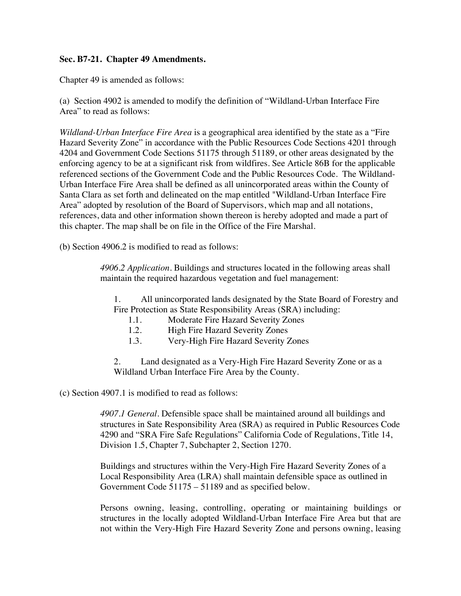#### **Sec. B7-21. Chapter 49 Amendments.**

Chapter 49 is amended as follows:

(a) Section 4902 is amended to modify the definition of "Wildland-Urban Interface Fire Area" to read as follows:

*Wildland-Urban Interface Fire Area* is a geographical area identified by the state as a "Fire Hazard Severity Zone" in accordance with the Public Resources Code Sections 4201 through 4204 and Government Code Sections 51175 through 51189, or other areas designated by the enforcing agency to be at a significant risk from wildfires. See Article 86B for the applicable referenced sections of the Government Code and the Public Resources Code. The Wildland-Urban Interface Fire Area shall be defined as all unincorporated areas within the County of Santa Clara as set forth and delineated on the map entitled "Wildland-Urban Interface Fire Area" adopted by resolution of the Board of Supervisors, which map and all notations, references, data and other information shown thereon is hereby adopted and made a part of this chapter. The map shall be on file in the Office of the Fire Marshal.

(b) Section 4906.2 is modified to read as follows:

*4906.2 Application*. Buildings and structures located in the following areas shall maintain the required hazardous vegetation and fuel management:

1. All unincorporated lands designated by the State Board of Forestry and Fire Protection as State Responsibility Areas (SRA) including:

- 1.1. Moderate Fire Hazard Severity Zones
- 1.2. High Fire Hazard Severity Zones
- 1.3. Very-High Fire Hazard Severity Zones

2. Land designated as a Very-High Fire Hazard Severity Zone or as a Wildland Urban Interface Fire Area by the County.

(c) Section 4907.1 is modified to read as follows:

*4907.1 General*. Defensible space shall be maintained around all buildings and structures in Sate Responsibility Area (SRA) as required in Public Resources Code 4290 and "SRA Fire Safe Regulations" California Code of Regulations, Title 14, Division 1.5, Chapter 7, Subchapter 2, Section 1270.

Buildings and structures within the Very-High Fire Hazard Severity Zones of a Local Responsibility Area (LRA) shall maintain defensible space as outlined in Government Code 51175 – 51189 and as specified below.

Persons owning, leasing, controlling, operating or maintaining buildings or structures in the locally adopted Wildland-Urban Interface Fire Area but that are not within the Very-High Fire Hazard Severity Zone and persons owning, leasing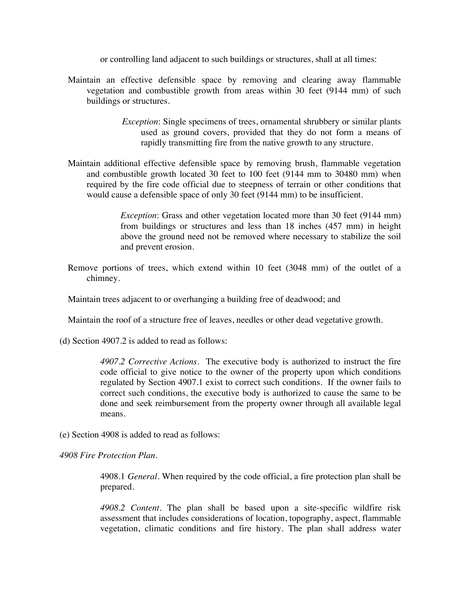or controlling land adjacent to such buildings or structures, shall at all times:

- Maintain an effective defensible space by removing and clearing away flammable vegetation and combustible growth from areas within 30 feet (9144 mm) of such buildings or structures.
	- *Exception*: Single specimens of trees, ornamental shrubbery or similar plants used as ground covers, provided that they do not form a means of rapidly transmitting fire from the native growth to any structure.
- Maintain additional effective defensible space by removing brush, flammable vegetation and combustible growth located 30 feet to 100 feet (9144 mm to 30480 mm) when required by the fire code official due to steepness of terrain or other conditions that would cause a defensible space of only 30 feet (9144 mm) to be insufficient.

*Exception*: Grass and other vegetation located more than 30 feet (9144 mm) from buildings or structures and less than 18 inches (457 mm) in height above the ground need not be removed where necessary to stabilize the soil and prevent erosion.

Remove portions of trees, which extend within 10 feet (3048 mm) of the outlet of a chimney.

Maintain trees adjacent to or overhanging a building free of deadwood; and

Maintain the roof of a structure free of leaves, needles or other dead vegetative growth.

(d) Section 4907.2 is added to read as follows:

*4907.2 Corrective Actions*. The executive body is authorized to instruct the fire code official to give notice to the owner of the property upon which conditions regulated by Section 4907.1 exist to correct such conditions. If the owner fails to correct such conditions, the executive body is authorized to cause the same to be done and seek reimbursement from the property owner through all available legal means.

(e) Section 4908 is added to read as follows:

*4908 Fire Protection Plan*.

4908.1 *General*. When required by the code official, a fire protection plan shall be prepared.

*4908.2 Content*. The plan shall be based upon a site-specific wildfire risk assessment that includes considerations of location, topography, aspect, flammable vegetation, climatic conditions and fire history. The plan shall address water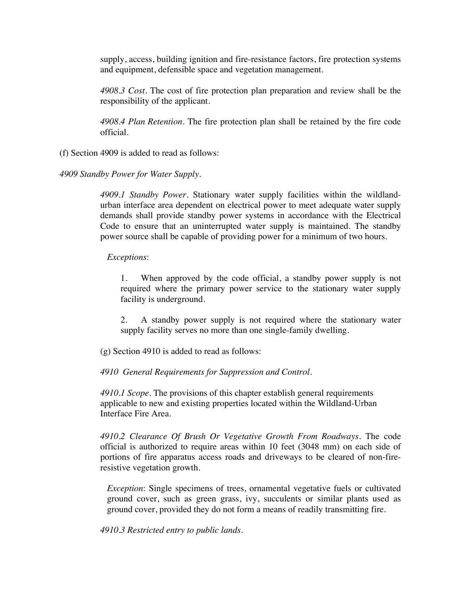supply, access, building ignition and fire-resistance factors, fire protection systems and equipment, defensible space and vegetation management.

*4908.3 Cost*. The cost of fire protection plan preparation and review shall be the responsibility of the applicant.

*4908.4 Plan Retention*. The fire protection plan shall be retained by the fire code official.

(f) Section 4909 is added to read as follows:

*4909 Standby Power for Water Supply.*

*4909.1 Standby Power*. Stationary water supply facilities within the wildlandurban interface area dependent on electrical power to meet adequate water supply demands shall provide standby power systems in accordance with the Electrical Code to ensure that an uninterrupted water supply is maintained. The standby power source shall be capable of providing power for a minimum of two hours.

#### *Exceptions*:

1. When approved by the code official, a standby power supply is not required where the primary power service to the stationary water supply facility is underground.

2. A standby power supply is not required where the stationary water supply facility serves no more than one single-family dwelling.

(g) Section 4910 is added to read as follows:

*4910 General Requirements for Suppression and Control.*

*4910.1 Scope*. The provisions of this chapter establish general requirements applicable to new and existing properties located within the Wildland-Urban Interface Fire Area.

*4910.2 Clearance Of Brush Or Vegetative Growth From Roadways*. The code official is authorized to require areas within 10 feet (3048 mm) on each side of portions of fire apparatus access roads and driveways to be cleared of non-fireresistive vegetation growth.

*Exception*: Single specimens of trees, ornamental vegetative fuels or cultivated ground cover, such as green grass, ivy, succulents or similar plants used as ground cover, provided they do not form a means of readily transmitting fire.

*4910.3 Restricted entry to public lands.*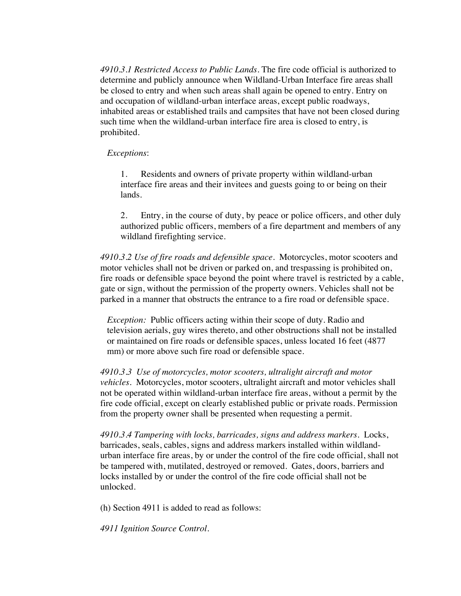*4910.3.1 Restricted Access to Public Lands.* The fire code official is authorized to determine and publicly announce when Wildland-Urban Interface fire areas shall be closed to entry and when such areas shall again be opened to entry. Entry on and occupation of wildland-urban interface areas, except public roadways, inhabited areas or established trails and campsites that have not been closed during such time when the wildland-urban interface fire area is closed to entry, is prohibited.

#### *Exceptions*:

1. Residents and owners of private property within wildland-urban interface fire areas and their invitees and guests going to or being on their lands.

2. Entry, in the course of duty, by peace or police officers, and other duly authorized public officers, members of a fire department and members of any wildland firefighting service.

*4910.3.2 Use of fire roads and defensible space.* Motorcycles, motor scooters and motor vehicles shall not be driven or parked on, and trespassing is prohibited on, fire roads or defensible space beyond the point where travel is restricted by a cable, gate or sign, without the permission of the property owners. Vehicles shall not be parked in a manner that obstructs the entrance to a fire road or defensible space.

*Exception:* Public officers acting within their scope of duty. Radio and television aerials, guy wires thereto, and other obstructions shall not be installed or maintained on fire roads or defensible spaces, unless located 16 feet (4877 mm) or more above such fire road or defensible space.

*4910.3.3 Use of motorcycles, motor scooters, ultralight aircraft and motor vehicles.* Motorcycles, motor scooters, ultralight aircraft and motor vehicles shall not be operated within wildland-urban interface fire areas, without a permit by the fire code official, except on clearly established public or private roads. Permission from the property owner shall be presented when requesting a permit.

*4910.3.4 Tampering with locks, barricades, signs and address markers.* Locks, barricades, seals, cables, signs and address markers installed within wildlandurban interface fire areas, by or under the control of the fire code official, shall not be tampered with, mutilated, destroyed or removed. Gates, doors, barriers and locks installed by or under the control of the fire code official shall not be unlocked.

(h) Section 4911 is added to read as follows:

*4911 Ignition Source Control.*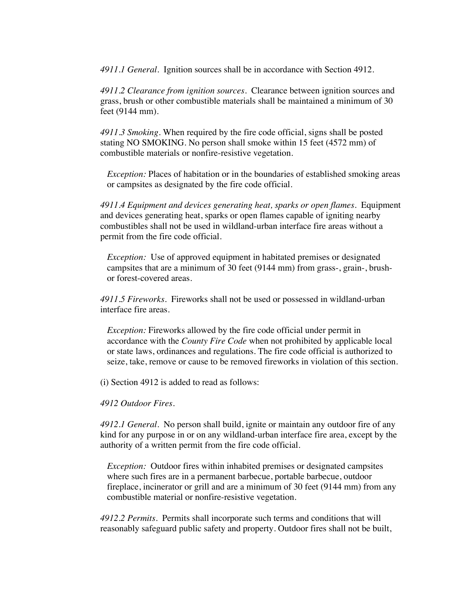*4911.1 General.* Ignition sources shall be in accordance with Section 4912.

*4911.2 Clearance from ignition sources.* Clearance between ignition sources and grass, brush or other combustible materials shall be maintained a minimum of 30 feet (9144 mm).

*4911.3 Smoking.* When required by the fire code official, signs shall be posted stating NO SMOKING. No person shall smoke within 15 feet (4572 mm) of combustible materials or nonfire-resistive vegetation.

*Exception:* Places of habitation or in the boundaries of established smoking areas or campsites as designated by the fire code official.

*4911.4 Equipment and devices generating heat, sparks or open flames.* Equipment and devices generating heat, sparks or open flames capable of igniting nearby combustibles shall not be used in wildland-urban interface fire areas without a permit from the fire code official.

*Exception:* Use of approved equipment in habitated premises or designated campsites that are a minimum of 30 feet (9144 mm) from grass-, grain-, brushor forest-covered areas.

*4911.5 Fireworks.* Fireworks shall not be used or possessed in wildland-urban interface fire areas.

*Exception:* Fireworks allowed by the fire code official under permit in accordance with the *County Fire Code* when not prohibited by applicable local or state laws, ordinances and regulations. The fire code official is authorized to seize, take, remove or cause to be removed fireworks in violation of this section.

(i) Section 4912 is added to read as follows:

*4912 Outdoor Fires.*

*4912.1 General.* No person shall build, ignite or maintain any outdoor fire of any kind for any purpose in or on any wildland-urban interface fire area, except by the authority of a written permit from the fire code official.

*Exception:* Outdoor fires within inhabited premises or designated campsites where such fires are in a permanent barbecue, portable barbecue, outdoor fireplace, incinerator or grill and are a minimum of 30 feet (9144 mm) from any combustible material or nonfire-resistive vegetation.

*4912.2 Permits.* Permits shall incorporate such terms and conditions that will reasonably safeguard public safety and property. Outdoor fires shall not be built,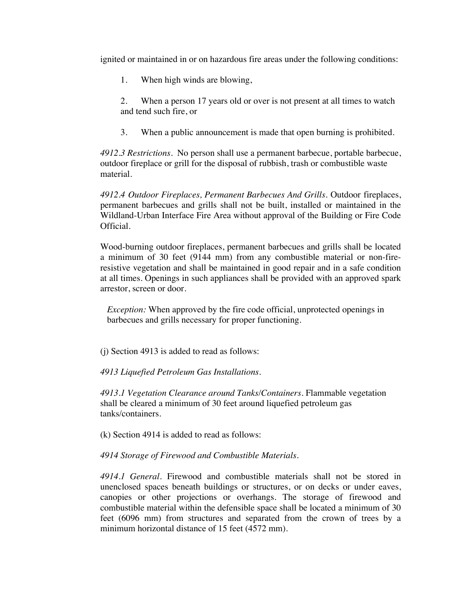ignited or maintained in or on hazardous fire areas under the following conditions:

1. When high winds are blowing,

2. When a person 17 years old or over is not present at all times to watch and tend such fire, or

3. When a public announcement is made that open burning is prohibited.

*4912.3 Restrictions.* No person shall use a permanent barbecue, portable barbecue, outdoor fireplace or grill for the disposal of rubbish, trash or combustible waste material.

*4912.4 Outdoor Fireplaces, Permanent Barbecues And Grills.* Outdoor fireplaces, permanent barbecues and grills shall not be built, installed or maintained in the Wildland-Urban Interface Fire Area without approval of the Building or Fire Code Official.

Wood-burning outdoor fireplaces, permanent barbecues and grills shall be located a minimum of 30 feet (9144 mm) from any combustible material or non-fireresistive vegetation and shall be maintained in good repair and in a safe condition at all times. Openings in such appliances shall be provided with an approved spark arrestor, screen or door.

*Exception:* When approved by the fire code official, unprotected openings in barbecues and grills necessary for proper functioning.

(j) Section 4913 is added to read as follows:

*4913 Liquefied Petroleum Gas Installations.*

*4913.1 Vegetation Clearance around Tanks/Containers.* Flammable vegetation shall be cleared a minimum of 30 feet around liquefied petroleum gas tanks/containers.

(k) Section 4914 is added to read as follows:

*4914 Storage of Firewood and Combustible Materials.*

*4914.1 General.* Firewood and combustible materials shall not be stored in unenclosed spaces beneath buildings or structures, or on decks or under eaves, canopies or other projections or overhangs. The storage of firewood and combustible material within the defensible space shall be located a minimum of 30 feet (6096 mm) from structures and separated from the crown of trees by a minimum horizontal distance of 15 feet (4572 mm).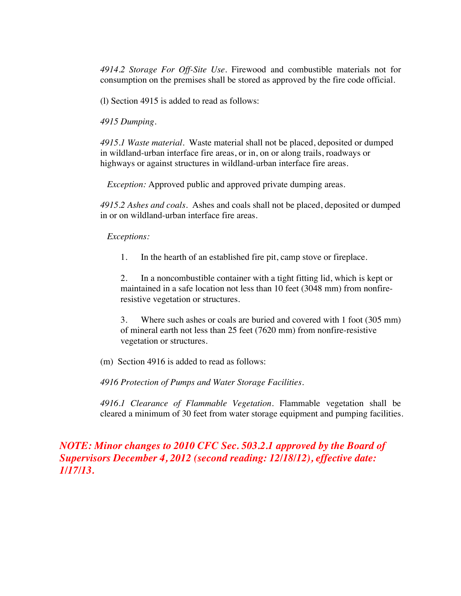*4914.2 Storage For Off-Site Use.* Firewood and combustible materials not for consumption on the premises shall be stored as approved by the fire code official.

(l) Section 4915 is added to read as follows:

*4915 Dumping.*

*4915.1 Waste material.* Waste material shall not be placed, deposited or dumped in wildland-urban interface fire areas, or in, on or along trails, roadways or highways or against structures in wildland-urban interface fire areas.

*Exception:* Approved public and approved private dumping areas.

*4915.2 Ashes and coals.* Ashes and coals shall not be placed, deposited or dumped in or on wildland-urban interface fire areas.

#### *Exceptions:*

1. In the hearth of an established fire pit, camp stove or fireplace.

2. In a noncombustible container with a tight fitting lid, which is kept or maintained in a safe location not less than 10 feet (3048 mm) from nonfireresistive vegetation or structures.

3. Where such ashes or coals are buried and covered with 1 foot (305 mm) of mineral earth not less than 25 feet (7620 mm) from nonfire-resistive vegetation or structures.

(m) Section 4916 is added to read as follows:

*4916 Protection of Pumps and Water Storage Facilities.*

*4916.1 Clearance of Flammable Vegetation.* Flammable vegetation shall be cleared a minimum of 30 feet from water storage equipment and pumping facilities.

*NOTE: Minor changes to 2010 CFC Sec. 503.2.1 approved by the Board of Supervisors December 4, 2012 (second reading: 12/18/12), effective date: 1/17/13.*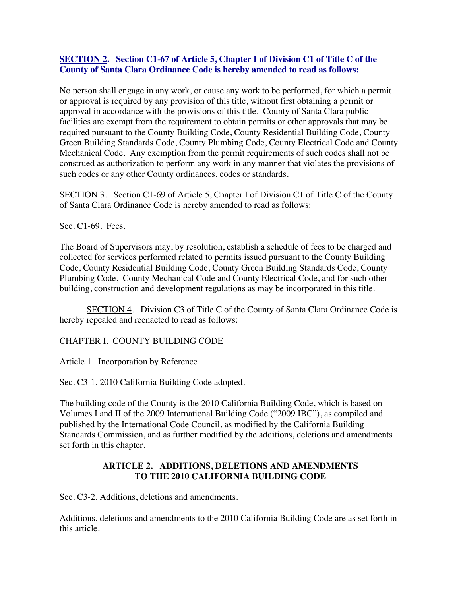#### **SECTION 2. Section C1-67 of Article 5, Chapter I of Division C1 of Title C of the County of Santa Clara Ordinance Code is hereby amended to read as follows:**

No person shall engage in any work, or cause any work to be performed, for which a permit or approval is required by any provision of this title, without first obtaining a permit or approval in accordance with the provisions of this title. County of Santa Clara public facilities are exempt from the requirement to obtain permits or other approvals that may be required pursuant to the County Building Code, County Residential Building Code, County Green Building Standards Code, County Plumbing Code, County Electrical Code and County Mechanical Code. Any exemption from the permit requirements of such codes shall not be construed as authorization to perform any work in any manner that violates the provisions of such codes or any other County ordinances, codes or standards.

SECTION 3. Section C1-69 of Article 5, Chapter I of Division C1 of Title C of the County of Santa Clara Ordinance Code is hereby amended to read as follows:

Sec. C1-69. Fees.

The Board of Supervisors may, by resolution, establish a schedule of fees to be charged and collected for services performed related to permits issued pursuant to the County Building Code, County Residential Building Code, County Green Building Standards Code, County Plumbing Code, County Mechanical Code and County Electrical Code, and for such other building, construction and development regulations as may be incorporated in this title.

SECTION 4. Division C3 of Title C of the County of Santa Clara Ordinance Code is hereby repealed and reenacted to read as follows:

CHAPTER I. COUNTY BUILDING CODE

Article 1. Incorporation by Reference

Sec. C3-1. 2010 California Building Code adopted.

The building code of the County is the 2010 California Building Code, which is based on Volumes I and II of the 2009 International Building Code ("2009 IBC"), as compiled and published by the International Code Council, as modified by the California Building Standards Commission, and as further modified by the additions, deletions and amendments set forth in this chapter.

#### **ARTICLE 2. ADDITIONS, DELETIONS AND AMENDMENTS TO THE 2010 CALIFORNIA BUILDING CODE**

Sec. C3-2. Additions, deletions and amendments.

Additions, deletions and amendments to the 2010 California Building Code are as set forth in this article.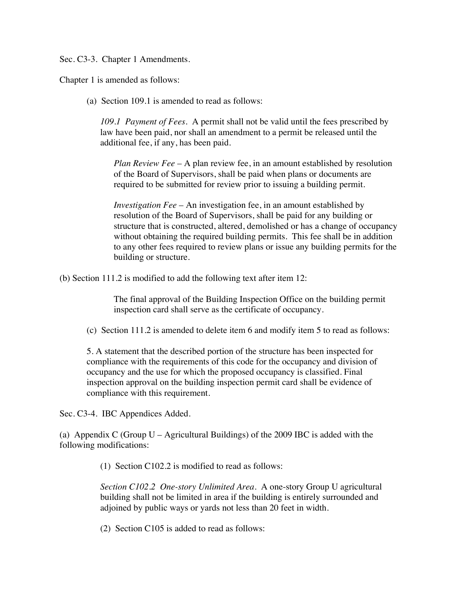Sec. C3-3. Chapter 1 Amendments.

Chapter 1 is amended as follows:

(a) Section 109.1 is amended to read as follows:

*109.1 Payment of Fees.* A permit shall not be valid until the fees prescribed by law have been paid, nor shall an amendment to a permit be released until the additional fee, if any, has been paid.

*Plan Review Fee* – A plan review fee, in an amount established by resolution of the Board of Supervisors, shall be paid when plans or documents are required to be submitted for review prior to issuing a building permit.

*Investigation Fee* – An investigation fee, in an amount established by resolution of the Board of Supervisors, shall be paid for any building or structure that is constructed, altered, demolished or has a change of occupancy without obtaining the required building permits. This fee shall be in addition to any other fees required to review plans or issue any building permits for the building or structure.

(b) Section 111.2 is modified to add the following text after item 12:

The final approval of the Building Inspection Office on the building permit inspection card shall serve as the certificate of occupancy.

(c) Section 111.2 is amended to delete item 6 and modify item 5 to read as follows:

5. A statement that the described portion of the structure has been inspected for compliance with the requirements of this code for the occupancy and division of occupancy and the use for which the proposed occupancy is classified. Final inspection approval on the building inspection permit card shall be evidence of compliance with this requirement.

Sec. C3-4. IBC Appendices Added.

(a) Appendix C (Group  $U -$  Agricultural Buildings) of the 2009 IBC is added with the following modifications:

(1) Section C102.2 is modified to read as follows:

*Section C102.2 One-story Unlimited Area*. A one-story Group U agricultural building shall not be limited in area if the building is entirely surrounded and adjoined by public ways or yards not less than 20 feet in width.

(2) Section C105 is added to read as follows: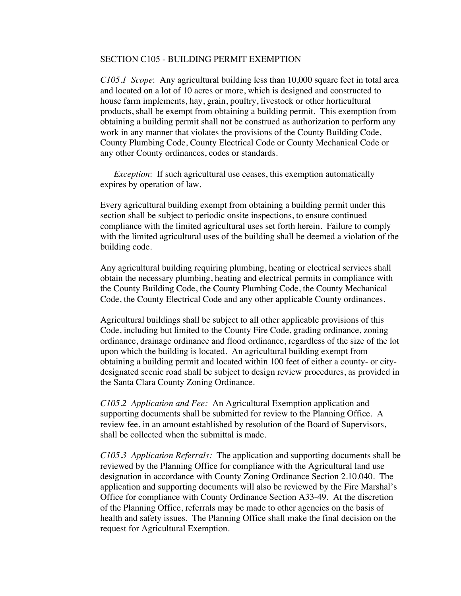#### SECTION C105 - BUILDING PERMIT EXEMPTION

*C105.1 Scope*: Any agricultural building less than 10,000 square feet in total area and located on a lot of 10 acres or more, which is designed and constructed to house farm implements, hay, grain, poultry, livestock or other horticultural products, shall be exempt from obtaining a building permit. This exemption from obtaining a building permit shall not be construed as authorization to perform any work in any manner that violates the provisions of the County Building Code, County Plumbing Code, County Electrical Code or County Mechanical Code or any other County ordinances, codes or standards.

*Exception*: If such agricultural use ceases, this exemption automatically expires by operation of law.

Every agricultural building exempt from obtaining a building permit under this section shall be subject to periodic onsite inspections, to ensure continued compliance with the limited agricultural uses set forth herein. Failure to comply with the limited agricultural uses of the building shall be deemed a violation of the building code.

Any agricultural building requiring plumbing, heating or electrical services shall obtain the necessary plumbing, heating and electrical permits in compliance with the County Building Code, the County Plumbing Code, the County Mechanical Code, the County Electrical Code and any other applicable County ordinances.

Agricultural buildings shall be subject to all other applicable provisions of this Code, including but limited to the County Fire Code, grading ordinance, zoning ordinance, drainage ordinance and flood ordinance, regardless of the size of the lot upon which the building is located. An agricultural building exempt from obtaining a building permit and located within 100 feet of either a county- or citydesignated scenic road shall be subject to design review procedures, as provided in the Santa Clara County Zoning Ordinance.

*C105.2 Application and Fee:* An Agricultural Exemption application and supporting documents shall be submitted for review to the Planning Office. A review fee, in an amount established by resolution of the Board of Supervisors, shall be collected when the submittal is made.

*C105.3 Application Referrals:* The application and supporting documents shall be reviewed by the Planning Office for compliance with the Agricultural land use designation in accordance with County Zoning Ordinance Section 2.10.040. The application and supporting documents will also be reviewed by the Fire Marshal's Office for compliance with County Ordinance Section A33-49. At the discretion of the Planning Office, referrals may be made to other agencies on the basis of health and safety issues. The Planning Office shall make the final decision on the request for Agricultural Exemption.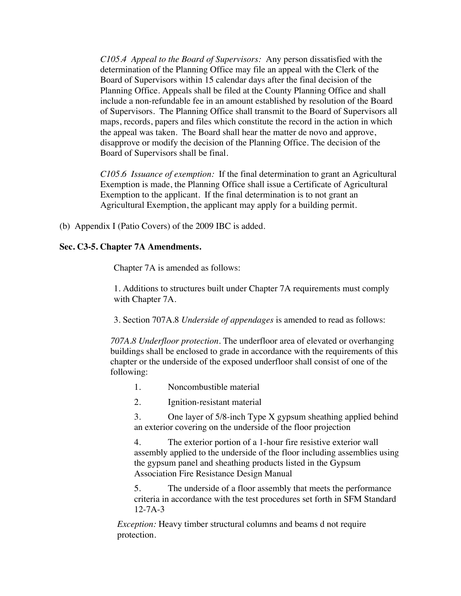*C105.4 Appeal to the Board of Supervisors:* Any person dissatisfied with the determination of the Planning Office may file an appeal with the Clerk of the Board of Supervisors within 15 calendar days after the final decision of the Planning Office. Appeals shall be filed at the County Planning Office and shall include a non-refundable fee in an amount established by resolution of the Board of Supervisors. The Planning Office shall transmit to the Board of Supervisors all maps, records, papers and files which constitute the record in the action in which the appeal was taken. The Board shall hear the matter de novo and approve, disapprove or modify the decision of the Planning Office. The decision of the Board of Supervisors shall be final.

*C105.6 Issuance of exemption:* If the final determination to grant an Agricultural Exemption is made, the Planning Office shall issue a Certificate of Agricultural Exemption to the applicant. If the final determination is to not grant an Agricultural Exemption, the applicant may apply for a building permit.

(b) Appendix I (Patio Covers) of the 2009 IBC is added.

#### **Sec. C3-5. Chapter 7A Amendments.**

Chapter 7A is amended as follows:

1. Additions to structures built under Chapter 7A requirements must comply with Chapter 7A.

3. Section 707A.8 *Underside of appendages* is amended to read as follows:

*707A.8 Underfloor protection.* The underfloor area of elevated or overhanging buildings shall be enclosed to grade in accordance with the requirements of this chapter or the underside of the exposed underfloor shall consist of one of the following:

- 1. Noncombustible material
- 2. Ignition-resistant material

3. One layer of 5/8-inch Type X gypsum sheathing applied behind an exterior covering on the underside of the floor projection

4. The exterior portion of a 1-hour fire resistive exterior wall assembly applied to the underside of the floor including assemblies using the gypsum panel and sheathing products listed in the Gypsum Association Fire Resistance Design Manual

5. The underside of a floor assembly that meets the performance criteria in accordance with the test procedures set forth in SFM Standard 12-7A-3

*Exception:* Heavy timber structural columns and beams d not require protection.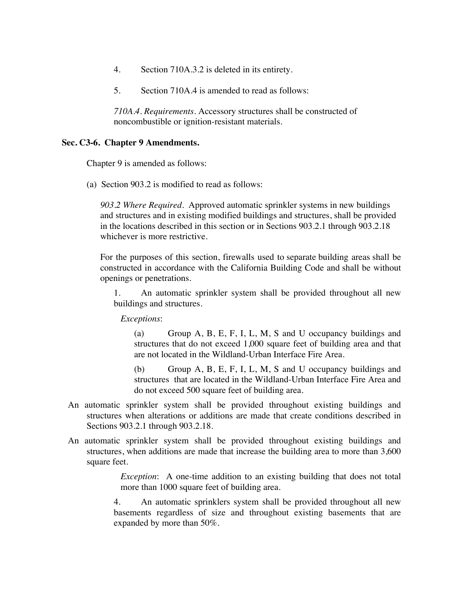- 4. Section 710A.3.2 is deleted in its entirety.
- 5. Section 710A.4 is amended to read as follows:

*710A.4. Requirements.* Accessory structures shall be constructed of noncombustible or ignition-resistant materials.

#### **Sec. C3-6. Chapter 9 Amendments.**

Chapter 9 is amended as follows:

(a) Section 903.2 is modified to read as follows:

*903.2 Where Required.* Approved automatic sprinkler systems in new buildings and structures and in existing modified buildings and structures, shall be provided in the locations described in this section or in Sections 903.2.1 through 903.2.18 whichever is more restrictive.

For the purposes of this section, firewalls used to separate building areas shall be constructed in accordance with the California Building Code and shall be without openings or penetrations.

1. An automatic sprinkler system shall be provided throughout all new buildings and structures.

*Exceptions*:

(a) Group A, B, E, F, I, L, M, S and U occupancy buildings and structures that do not exceed 1,000 square feet of building area and that are not located in the Wildland-Urban Interface Fire Area.

(b) Group A, B, E, F, I, L, M, S and U occupancy buildings and structures that are located in the Wildland-Urban Interface Fire Area and do not exceed 500 square feet of building area.

- An automatic sprinkler system shall be provided throughout existing buildings and structures when alterations or additions are made that create conditions described in Sections 903.2.1 through 903.2.18.
- An automatic sprinkler system shall be provided throughout existing buildings and structures, when additions are made that increase the building area to more than 3,600 square feet.

*Exception*: A one-time addition to an existing building that does not total more than 1000 square feet of building area.

4. An automatic sprinklers system shall be provided throughout all new basements regardless of size and throughout existing basements that are expanded by more than 50%.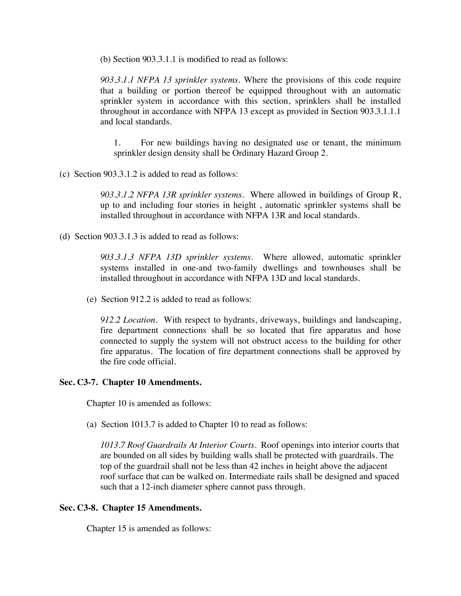(b) Section 903.3.1.1 is modified to read as follows:

*903.3.1.1 NFPA 13 sprinkler systems.* Where the provisions of this code require that a building or portion thereof be equipped throughout with an automatic sprinkler system in accordance with this section, sprinklers shall be installed throughout in accordance with NFPA 13 except as provided in Section 903.3.1.1.1 and local standards.

1. For new buildings having no designated use or tenant, the minimum sprinkler design density shall be Ordinary Hazard Group 2.

(c) Section 903.3.1.2 is added to read as follows:

*903.3.1.2 NFPA 13R sprinkler systems*. Where allowed in buildings of Group R, up to and including four stories in height , automatic sprinkler systems shall be installed throughout in accordance with NFPA 13R and local standards.

(d) Section 903.3.1.3 is added to read as follows:

*903.3.1.3 NFPA 13D sprinkler systems.* Where allowed, automatic sprinkler systems installed in one-and two-family dwellings and townhouses shall be installed throughout in accordance with NFPA 13D and local standards.

(e) Section 912.2 is added to read as follows:

*912.2 Location.* With respect to hydrants, driveways, buildings and landscaping, fire department connections shall be so located that fire apparatus and hose connected to supply the system will not obstruct access to the building for other fire apparatus. The location of fire department connections shall be approved by the fire code official.

#### **Sec. C3-7. Chapter 10 Amendments.**

Chapter 10 is amended as follows:

(a) Section 1013.7 is added to Chapter 10 to read as follows:

*1013.7 Roof Guardrails At Interior Courts.* Roof openings into interior courts that are bounded on all sides by building walls shall be protected with guardrails. The top of the guardrail shall not be less than 42 inches in height above the adjacent roof surface that can be walked on. Intermediate rails shall be designed and spaced such that a 12-inch diameter sphere cannot pass through.

#### **Sec. C3-8. Chapter 15 Amendments.**

Chapter 15 is amended as follows: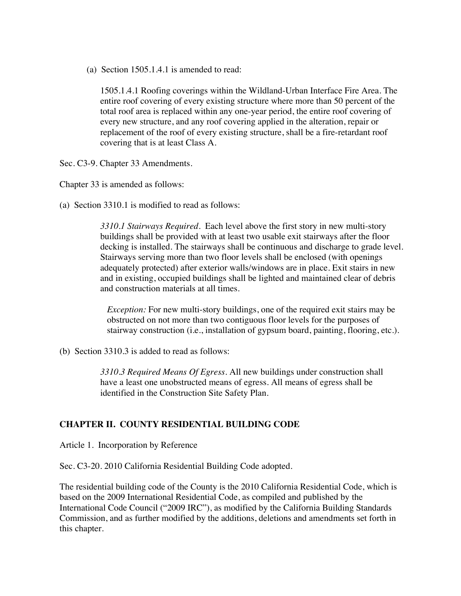(a) Section 1505.1.4.1 is amended to read:

1505.1.4.1 Roofing coverings within the Wildland-Urban Interface Fire Area. The entire roof covering of every existing structure where more than 50 percent of the total roof area is replaced within any one-year period, the entire roof covering of every new structure, and any roof covering applied in the alteration, repair or replacement of the roof of every existing structure, shall be a fire-retardant roof covering that is at least Class A.

Sec. C3-9. Chapter 33 Amendments.

Chapter 33 is amended as follows:

(a) Section 3310.1 is modified to read as follows:

*3310.1 Stairways Required.* Each level above the first story in new multi-story buildings shall be provided with at least two usable exit stairways after the floor decking is installed. The stairways shall be continuous and discharge to grade level. Stairways serving more than two floor levels shall be enclosed (with openings adequately protected) after exterior walls/windows are in place. Exit stairs in new and in existing, occupied buildings shall be lighted and maintained clear of debris and construction materials at all times.

*Exception:* For new multi-story buildings, one of the required exit stairs may be obstructed on not more than two contiguous floor levels for the purposes of stairway construction (i.e., installation of gypsum board, painting, flooring, etc.).

(b) Section 3310.3 is added to read as follows:

*3310.3 Required Means Of Egress.* All new buildings under construction shall have a least one unobstructed means of egress. All means of egress shall be identified in the Construction Site Safety Plan.

#### **CHAPTER II. COUNTY RESIDENTIAL BUILDING CODE**

Article 1. Incorporation by Reference

Sec. C3-20. 2010 California Residential Building Code adopted.

The residential building code of the County is the 2010 California Residential Code, which is based on the 2009 International Residential Code, as compiled and published by the International Code Council ("2009 IRC"), as modified by the California Building Standards Commission, and as further modified by the additions, deletions and amendments set forth in this chapter.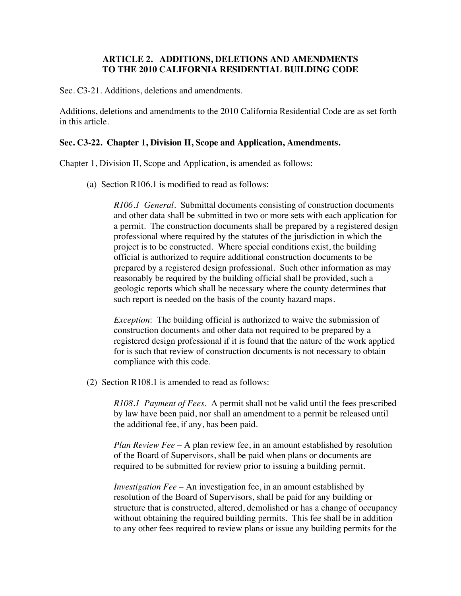#### **ARTICLE 2. ADDITIONS, DELETIONS AND AMENDMENTS TO THE 2010 CALIFORNIA RESIDENTIAL BUILDING CODE**

Sec. C3-21. Additions, deletions and amendments.

Additions, deletions and amendments to the 2010 California Residential Code are as set forth in this article.

#### **Sec. C3-22. Chapter 1, Division II, Scope and Application, Amendments.**

Chapter 1, Division II, Scope and Application, is amended as follows:

(a) Section R106.1 is modified to read as follows:

*R106.1 General.* Submittal documents consisting of construction documents and other data shall be submitted in two or more sets with each application for a permit. The construction documents shall be prepared by a registered design professional where required by the statutes of the jurisdiction in which the project is to be constructed. Where special conditions exist, the building official is authorized to require additional construction documents to be prepared by a registered design professional. Such other information as may reasonably be required by the building official shall be provided, such a geologic reports which shall be necessary where the county determines that such report is needed on the basis of the county hazard maps.

*Exception*: The building official is authorized to waive the submission of construction documents and other data not required to be prepared by a registered design professional if it is found that the nature of the work applied for is such that review of construction documents is not necessary to obtain compliance with this code.

(2) Section R108.1 is amended to read as follows:

*R108.1 Payment of Fees.* A permit shall not be valid until the fees prescribed by law have been paid, nor shall an amendment to a permit be released until the additional fee, if any, has been paid.

*Plan Review Fee* – A plan review fee, in an amount established by resolution of the Board of Supervisors, shall be paid when plans or documents are required to be submitted for review prior to issuing a building permit.

*Investigation Fee* – An investigation fee, in an amount established by resolution of the Board of Supervisors, shall be paid for any building or structure that is constructed, altered, demolished or has a change of occupancy without obtaining the required building permits. This fee shall be in addition to any other fees required to review plans or issue any building permits for the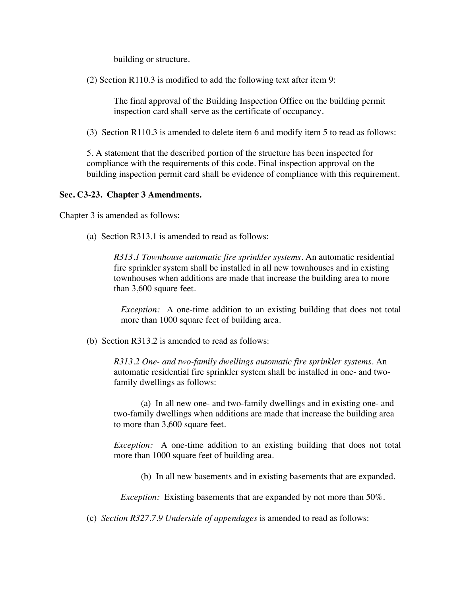building or structure.

(2) Section R110.3 is modified to add the following text after item 9:

The final approval of the Building Inspection Office on the building permit inspection card shall serve as the certificate of occupancy.

(3) Section R110.3 is amended to delete item 6 and modify item 5 to read as follows:

5. A statement that the described portion of the structure has been inspected for compliance with the requirements of this code. Final inspection approval on the building inspection permit card shall be evidence of compliance with this requirement.

#### **Sec. C3-23. Chapter 3 Amendments.**

Chapter 3 is amended as follows:

(a) Section R313.1 is amended to read as follows:

*R313.1 Townhouse automatic fire sprinkler systems.* An automatic residential fire sprinkler system shall be installed in all new townhouses and in existing townhouses when additions are made that increase the building area to more than 3,600 square feet.

*Exception:* A one-time addition to an existing building that does not total more than 1000 square feet of building area.

(b) Section R313.2 is amended to read as follows:

*R313.2 One- and two-family dwellings automatic fire sprinkler systems.* An automatic residential fire sprinkler system shall be installed in one- and twofamily dwellings as follows:

(a) In all new one- and two-family dwellings and in existing one- and two-family dwellings when additions are made that increase the building area to more than 3,600 square feet.

*Exception:* A one-time addition to an existing building that does not total more than 1000 square feet of building area.

(b) In all new basements and in existing basements that are expanded.

*Exception:* Existing basements that are expanded by not more than 50%.

(c) *Section R327.7.9 Underside of appendages* is amended to read as follows: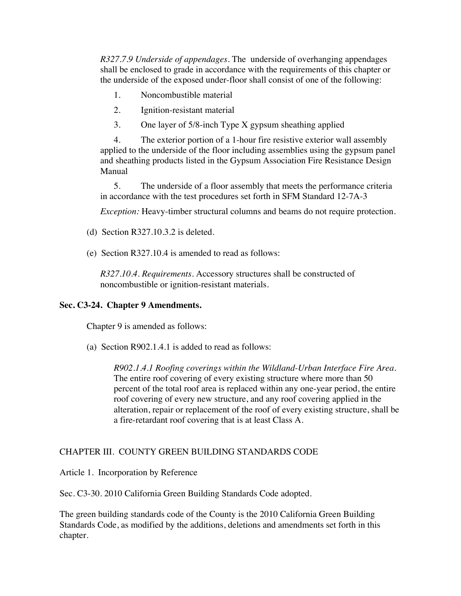*R327.7.9 Underside of appendages.* The underside of overhanging appendages shall be enclosed to grade in accordance with the requirements of this chapter or the underside of the exposed under-floor shall consist of one of the following:

- 1. Noncombustible material
- 2. Ignition-resistant material
- 3. One layer of 5/8-inch Type X gypsum sheathing applied

4. The exterior portion of a 1-hour fire resistive exterior wall assembly applied to the underside of the floor including assemblies using the gypsum panel and sheathing products listed in the Gypsum Association Fire Resistance Design Manual

5. The underside of a floor assembly that meets the performance criteria in accordance with the test procedures set forth in SFM Standard 12-7A-3

*Exception:* Heavy-timber structural columns and beams do not require protection.

- (d) Section R327.10.3.2 is deleted.
- (e) Section R327.10.4 is amended to read as follows:

*R327.10.4. Requirements.* Accessory structures shall be constructed of noncombustible or ignition-resistant materials.

#### **Sec. C3-24. Chapter 9 Amendments.**

Chapter 9 is amended as follows:

(a) Section R902.1.4.1 is added to read as follows:

*R902.1.4.1 Roofing coverings within the Wildland-Urban Interface Fire Area.* The entire roof covering of every existing structure where more than 50 percent of the total roof area is replaced within any one-year period, the entire roof covering of every new structure, and any roof covering applied in the alteration, repair or replacement of the roof of every existing structure, shall be a fire-retardant roof covering that is at least Class A.

#### CHAPTER III. COUNTY GREEN BUILDING STANDARDS CODE

Article 1. Incorporation by Reference

Sec. C3-30. 2010 California Green Building Standards Code adopted.

The green building standards code of the County is the 2010 California Green Building Standards Code, as modified by the additions, deletions and amendments set forth in this chapter.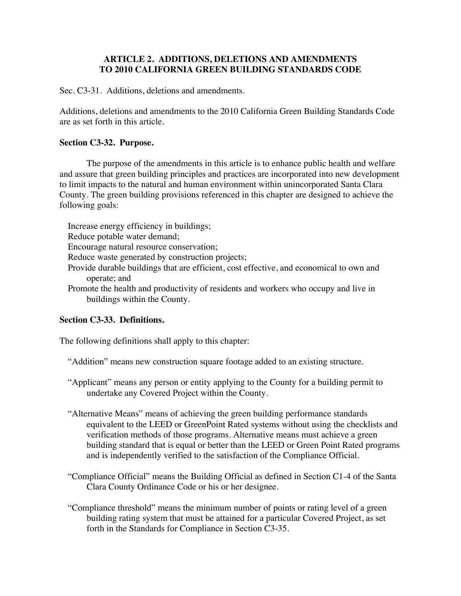#### **ARTICLE 2. ADDITIONS, DELETIONS AND AMENDMENTS TO 2010 CALIFORNIA GREEN BUILDING STANDARDS CODE**

Sec. C3-31. Additions, deletions and amendments.

Additions, deletions and amendments to the 2010 California Green Building Standards Code are as set forth in this article.

#### **Section C3-32. Purpose.**

The purpose of the amendments in this article is to enhance public health and welfare and assure that green building principles and practices are incorporated into new development to limit impacts to the natural and human environment within unincorporated Santa Clara County. The green building provisions referenced in this chapter are designed to achieve the following goals:

Increase energy efficiency in buildings;

Reduce potable water demand;

Encourage natural resource conservation;

Reduce waste generated by construction projects;

- Provide durable buildings that are efficient, cost effective, and economical to own and operate; and
- Promote the health and productivity of residents and workers who occupy and live in buildings within the County.

#### **Section C3-33. Definitions.**

The following definitions shall apply to this chapter:

"Addition" means new construction square footage added to an existing structure.

- "Applicant" means any person or entity applying to the County for a building permit to undertake any Covered Project within the County.
- "Alternative Means" means of achieving the green building performance standards equivalent to the LEED or GreenPoint Rated systems without using the checklists and verification methods of those programs. Alternative means must achieve a green building standard that is equal or better than the LEED or Green Point Rated programs and is independently verified to the satisfaction of the Compliance Official.
- "Compliance Official" means the Building Official as defined in Section C1-4 of the Santa Clara County Ordinance Code or his or her designee.
- "Compliance threshold" means the minimum number of points or rating level of a green building rating system that must be attained for a particular Covered Project, as set forth in the Standards for Compliance in Section C3-35.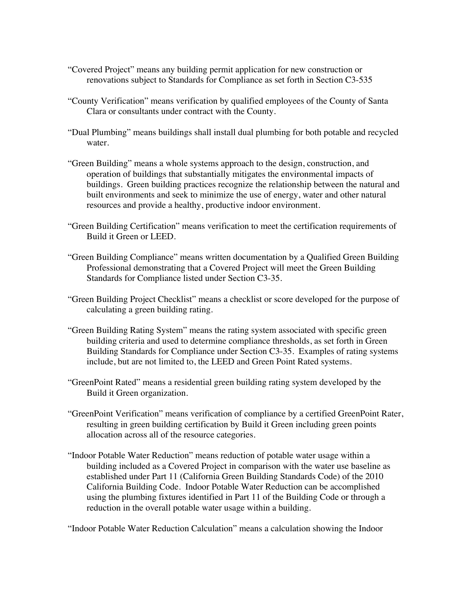- "Covered Project" means any building permit application for new construction or renovations subject to Standards for Compliance as set forth in Section C3-535
- "County Verification" means verification by qualified employees of the County of Santa Clara or consultants under contract with the County.
- "Dual Plumbing" means buildings shall install dual plumbing for both potable and recycled water.
- "Green Building" means a whole systems approach to the design, construction, and operation of buildings that substantially mitigates the environmental impacts of buildings. Green building practices recognize the relationship between the natural and built environments and seek to minimize the use of energy, water and other natural resources and provide a healthy, productive indoor environment.
- "Green Building Certification" means verification to meet the certification requirements of Build it Green or LEED.
- "Green Building Compliance" means written documentation by a Qualified Green Building Professional demonstrating that a Covered Project will meet the Green Building Standards for Compliance listed under Section C3-35.
- "Green Building Project Checklist" means a checklist or score developed for the purpose of calculating a green building rating.
- "Green Building Rating System" means the rating system associated with specific green building criteria and used to determine compliance thresholds, as set forth in Green Building Standards for Compliance under Section C3-35. Examples of rating systems include, but are not limited to, the LEED and Green Point Rated systems.
- "GreenPoint Rated" means a residential green building rating system developed by the Build it Green organization.
- "GreenPoint Verification" means verification of compliance by a certified GreenPoint Rater, resulting in green building certification by Build it Green including green points allocation across all of the resource categories.
- "Indoor Potable Water Reduction" means reduction of potable water usage within a building included as a Covered Project in comparison with the water use baseline as established under Part 11 (California Green Building Standards Code) of the 2010 California Building Code. Indoor Potable Water Reduction can be accomplished using the plumbing fixtures identified in Part 11 of the Building Code or through a reduction in the overall potable water usage within a building.

"Indoor Potable Water Reduction Calculation" means a calculation showing the Indoor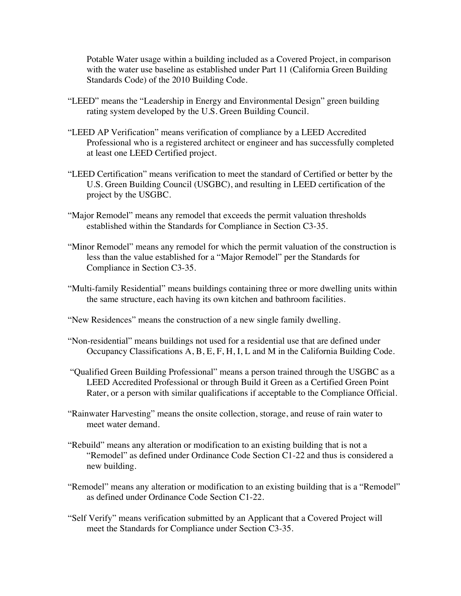Potable Water usage within a building included as a Covered Project, in comparison with the water use baseline as established under Part 11 (California Green Building Standards Code) of the 2010 Building Code.

- "LEED" means the "Leadership in Energy and Environmental Design" green building rating system developed by the U.S. Green Building Council.
- "LEED AP Verification" means verification of compliance by a LEED Accredited Professional who is a registered architect or engineer and has successfully completed at least one LEED Certified project.
- "LEED Certification" means verification to meet the standard of Certified or better by the U.S. Green Building Council (USGBC), and resulting in LEED certification of the project by the USGBC.
- "Major Remodel" means any remodel that exceeds the permit valuation thresholds established within the Standards for Compliance in Section C3-35.
- "Minor Remodel" means any remodel for which the permit valuation of the construction is less than the value established for a "Major Remodel" per the Standards for Compliance in Section C3-35.
- "Multi-family Residential" means buildings containing three or more dwelling units within the same structure, each having its own kitchen and bathroom facilities.

"New Residences" means the construction of a new single family dwelling.

- "Non-residential" means buildings not used for a residential use that are defined under Occupancy Classifications A, B, E, F, H, I, L and M in the California Building Code.
- "Qualified Green Building Professional" means a person trained through the USGBC as a LEED Accredited Professional or through Build it Green as a Certified Green Point Rater, or a person with similar qualifications if acceptable to the Compliance Official.
- "Rainwater Harvesting" means the onsite collection, storage, and reuse of rain water to meet water demand.
- "Rebuild" means any alteration or modification to an existing building that is not a "Remodel" as defined under Ordinance Code Section C1-22 and thus is considered a new building.
- "Remodel" means any alteration or modification to an existing building that is a "Remodel" as defined under Ordinance Code Section C1-22.
- "Self Verify" means verification submitted by an Applicant that a Covered Project will meet the Standards for Compliance under Section C3-35.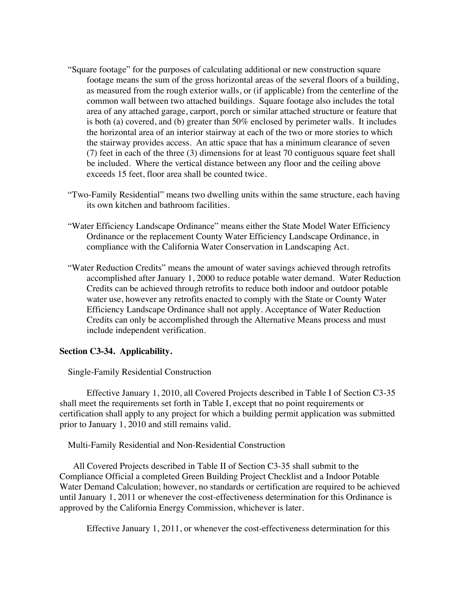- "Square footage" for the purposes of calculating additional or new construction square footage means the sum of the gross horizontal areas of the several floors of a building, as measured from the rough exterior walls, or (if applicable) from the centerline of the common wall between two attached buildings. Square footage also includes the total area of any attached garage, carport, porch or similar attached structure or feature that is both (a) covered, and (b) greater than 50% enclosed by perimeter walls. It includes the horizontal area of an interior stairway at each of the two or more stories to which the stairway provides access. An attic space that has a minimum clearance of seven (7) feet in each of the three (3) dimensions for at least 70 contiguous square feet shall be included. Where the vertical distance between any floor and the ceiling above exceeds 15 feet, floor area shall be counted twice.
- "Two-Family Residential" means two dwelling units within the same structure, each having its own kitchen and bathroom facilities.
- "Water Efficiency Landscape Ordinance" means either the State Model Water Efficiency Ordinance or the replacement County Water Efficiency Landscape Ordinance, in compliance with the California Water Conservation in Landscaping Act.
- "Water Reduction Credits" means the amount of water savings achieved through retrofits accomplished after January 1, 2000 to reduce potable water demand. Water Reduction Credits can be achieved through retrofits to reduce both indoor and outdoor potable water use, however any retrofits enacted to comply with the State or County Water Efficiency Landscape Ordinance shall not apply. Acceptance of Water Reduction Credits can only be accomplished through the Alternative Means process and must include independent verification.

#### **Section C3-34. Applicability.**

Single-Family Residential Construction

Effective January 1, 2010, all Covered Projects described in Table I of Section C3-35 shall meet the requirements set forth in Table I, except that no point requirements or certification shall apply to any project for which a building permit application was submitted prior to January 1, 2010 and still remains valid.

Multi-Family Residential and Non-Residential Construction

 All Covered Projects described in Table II of Section C3-35 shall submit to the Compliance Official a completed Green Building Project Checklist and a Indoor Potable Water Demand Calculation; however, no standards or certification are required to be achieved until January 1, 2011 or whenever the cost-effectiveness determination for this Ordinance is approved by the California Energy Commission, whichever is later.

Effective January 1, 2011, or whenever the cost-effectiveness determination for this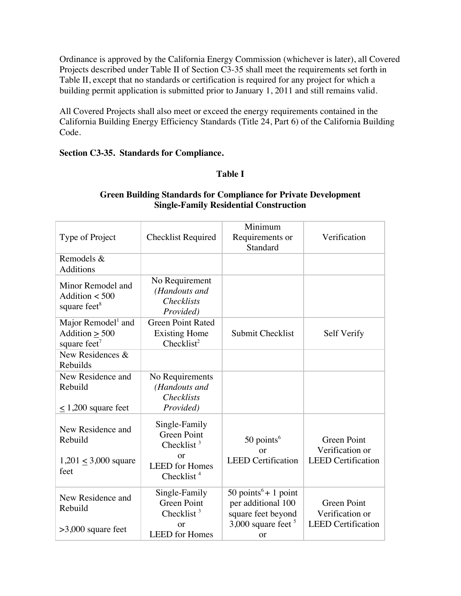Ordinance is approved by the California Energy Commission (whichever is later), all Covered Projects described under Table II of Section C3-35 shall meet the requirements set forth in Table II, except that no standards or certification is required for any project for which a building permit application is submitted prior to January 1, 2011 and still remains valid.

All Covered Projects shall also meet or exceed the energy requirements contained in the California Building Energy Efficiency Standards (Title 24, Part 6) of the California Building Code.

#### **Section C3-35. Standards for Compliance.**

#### **Table I**

#### Type of Project | Checklist Required Minimum Requirements or Standard Verification Remodels & **Additions** Minor Remodel and Addition  $<$  500 square feet $8$ No Requirement *(Handouts and Checklists Provided)* Major Remodel $<sup>1</sup>$  and</sup>  $Addition > 500$ square feet $<sup>7</sup>$ </sup> Green Point Rated Existing Home  $Checklist<sup>2</sup>$ Submit Checklist | Self Verify New Residences & Rebuilds New Residence and Rebuild  $\leq 1,200$  square feet No Requirements *(Handouts and Checklists Provided)* New Residence and Rebuild 1,201 < 3,000 square feet Single-Family Green Point Checklist $3$ or LEED for Homes Checklist<sup> $4$ </sup>  $50$  points<sup>6</sup> or LEED Certification Green Point Verification or LEED Certification New Residence and Rebuild >3,000 square feet Single-Family Green Point Checklist  $3$ or LEED for Homes 50 points $6 + 1$  point per additional 100 square feet beyond  $3,000$  square feet  $5$ or Green Point Verification or LEED Certification

#### **Green Building Standards for Compliance for Private Development Single-Family Residential Construction**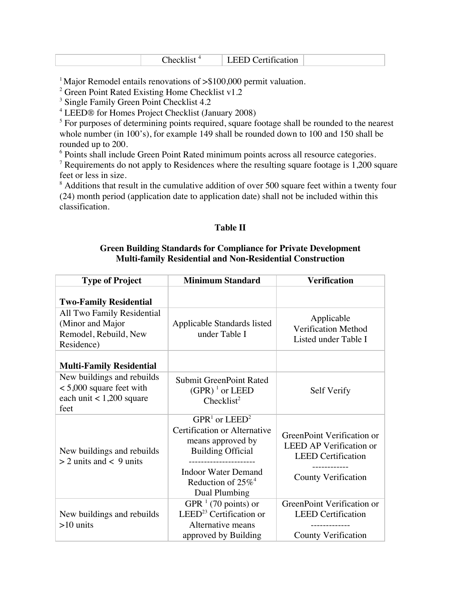| .1St<br>neo<br>ιк | $\sim$<br>cation<br>--<br>$\sim$ |  |
|-------------------|----------------------------------|--|
|-------------------|----------------------------------|--|

<sup>1</sup> Major Remodel entails renovations of  $\gg$ \$100,000 permit valuation.

<sup>2</sup> Green Point Rated Existing Home Checklist v1.2

<sup>3</sup> Single Family Green Point Checklist 4.2

<sup>4</sup> LEED® for Homes Project Checklist (January 2008)

<sup>5</sup> For purposes of determining points required, square footage shall be rounded to the nearest whole number (in 100's), for example 149 shall be rounded down to 100 and 150 shall be rounded up to 200.

<sup>6</sup> Points shall include Green Point Rated minimum points across all resource categories.

 $7$  Requirements do not apply to Residences where the resulting square footage is 1,200 square feet or less in size.

 $8$  Additions that result in the cumulative addition of over 500 square feet within a twenty four (24) month period (application date to application date) shall not be included within this classification.

#### **Table II**

#### **Green Building Standards for Compliance for Private Development Multi-family Residential and Non-Residential Construction**

| <b>Type of Project</b>                                                                         | <b>Minimum Standard</b>                                                                                                                                                               | <b>Verification</b>                                                                                                     |
|------------------------------------------------------------------------------------------------|---------------------------------------------------------------------------------------------------------------------------------------------------------------------------------------|-------------------------------------------------------------------------------------------------------------------------|
| <b>Two-Family Residential</b>                                                                  |                                                                                                                                                                                       |                                                                                                                         |
| All Two Family Residential<br>(Minor and Major<br>Remodel, Rebuild, New<br>Residence)          | Applicable Standards listed<br>under Table I                                                                                                                                          | Applicable<br>Verification Method<br>Listed under Table I                                                               |
| <b>Multi-Family Residential</b>                                                                |                                                                                                                                                                                       |                                                                                                                         |
| New buildings and rebuilds<br>$< 5,000$ square feet with<br>each unit $< 1,200$ square<br>feet | <b>Submit GreenPoint Rated</b><br>$(GPR)^{1}$ or LEED<br>Checklist <sup>2</sup>                                                                                                       | Self Verify                                                                                                             |
| New buildings and rebuilds<br>$>$ 2 units and < 9 units                                        | $GPR1$ or $LEED2$<br>Certification or Alternative<br>means approved by<br><b>Building Official</b><br><b>Indoor Water Demand</b><br>Reduction of $25\%$ <sup>4</sup><br>Dual Plumbing | GreenPoint Verification or<br><b>LEED AP Verification or</b><br><b>LEED</b> Certification<br><b>County Verification</b> |
| New buildings and rebuilds<br>$>10$ units                                                      | GPR $1$ (70 points) or<br>LEED <sup>23</sup> Certification or<br>Alternative means<br>approved by Building                                                                            | GreenPoint Verification or<br><b>LEED Certification</b><br><b>County Verification</b>                                   |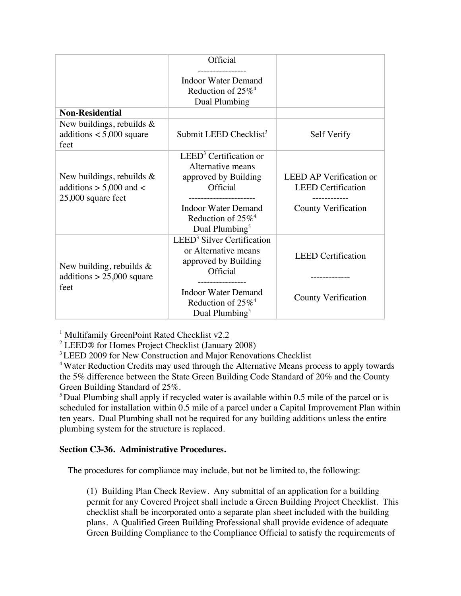|                                                                                   | Official                                                                                                                                                                                 |                                                                                           |
|-----------------------------------------------------------------------------------|------------------------------------------------------------------------------------------------------------------------------------------------------------------------------------------|-------------------------------------------------------------------------------------------|
|                                                                                   | <b>Indoor Water Demand</b><br>Reduction of $25\%$ <sup>4</sup><br>Dual Plumbing                                                                                                          |                                                                                           |
| <b>Non-Residential</b>                                                            |                                                                                                                                                                                          |                                                                                           |
| New buildings, rebuilds $\&$<br>additions $< 5,000$ square<br>feet                | Submit LEED Checklist <sup>3</sup>                                                                                                                                                       | Self Verify                                                                               |
| New buildings, rebuilds $\&$<br>additions $> 5,000$ and $<$<br>25,000 square feet | LEED <sup>3</sup> Certification or<br>Alternative means<br>approved by Building<br>Official<br><b>Indoor Water Demand</b><br>Reduction of 25% <sup>4</sup><br>Dual Plumbing <sup>5</sup> | <b>LEED AP Verification or</b><br><b>LEED</b> Certification<br><b>County Verification</b> |
| New building, rebuilds $\&$<br>additions $> 25,000$ square<br>feet                | LEED <sup>3</sup> Silver Certification<br>or Alternative means<br>approved by Building<br>Official<br><b>Indoor Water Demand</b>                                                         | <b>LEED</b> Certification<br>----------<br><b>County Verification</b>                     |
|                                                                                   | Reduction of $25\%$ <sup>4</sup><br>Dual Plumbing <sup>5</sup>                                                                                                                           |                                                                                           |

<sup>1</sup> Multifamily GreenPoint Rated Checklist v2.2

<sup>2</sup> LEED® for Homes Project Checklist (January 2008)

<sup>3</sup> LEED 2009 for New Construction and Major Renovations Checklist

<sup>4</sup> Water Reduction Credits may used through the Alternative Means process to apply towards the 5% difference between the State Green Building Code Standard of 20% and the County Green Building Standard of 25%.

 $5$  Dual Plumbing shall apply if recycled water is available within 0.5 mile of the parcel or is scheduled for installation within 0.5 mile of a parcel under a Capital Improvement Plan within ten years. Dual Plumbing shall not be required for any building additions unless the entire plumbing system for the structure is replaced.

#### **Section C3-36. Administrative Procedures.**

The procedures for compliance may include, but not be limited to, the following:

(1) Building Plan Check Review. Any submittal of an application for a building permit for any Covered Project shall include a Green Building Project Checklist. This checklist shall be incorporated onto a separate plan sheet included with the building plans. A Qualified Green Building Professional shall provide evidence of adequate Green Building Compliance to the Compliance Official to satisfy the requirements of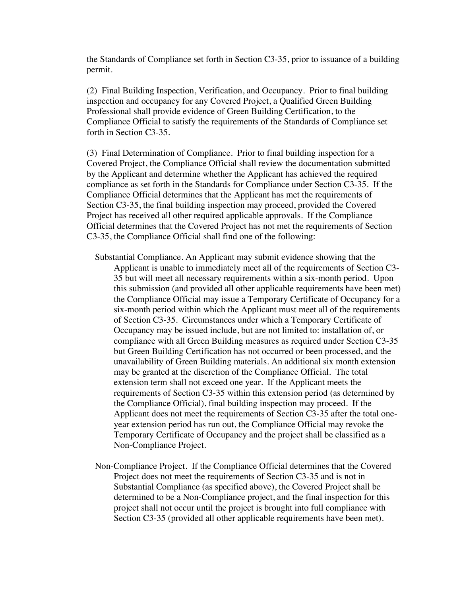the Standards of Compliance set forth in Section C3-35, prior to issuance of a building permit.

(2) Final Building Inspection, Verification, and Occupancy. Prior to final building inspection and occupancy for any Covered Project, a Qualified Green Building Professional shall provide evidence of Green Building Certification, to the Compliance Official to satisfy the requirements of the Standards of Compliance set forth in Section C3-35.

(3) Final Determination of Compliance. Prior to final building inspection for a Covered Project, the Compliance Official shall review the documentation submitted by the Applicant and determine whether the Applicant has achieved the required compliance as set forth in the Standards for Compliance under Section C3-35. If the Compliance Official determines that the Applicant has met the requirements of Section C3-35, the final building inspection may proceed, provided the Covered Project has received all other required applicable approvals. If the Compliance Official determines that the Covered Project has not met the requirements of Section C3-35, the Compliance Official shall find one of the following:

- Substantial Compliance. An Applicant may submit evidence showing that the Applicant is unable to immediately meet all of the requirements of Section C3- 35 but will meet all necessary requirements within a six-month period. Upon this submission (and provided all other applicable requirements have been met) the Compliance Official may issue a Temporary Certificate of Occupancy for a six-month period within which the Applicant must meet all of the requirements of Section C3-35. Circumstances under which a Temporary Certificate of Occupancy may be issued include, but are not limited to: installation of, or compliance with all Green Building measures as required under Section C3-35 but Green Building Certification has not occurred or been processed, and the unavailability of Green Building materials. An additional six month extension may be granted at the discretion of the Compliance Official. The total extension term shall not exceed one year. If the Applicant meets the requirements of Section C3-35 within this extension period (as determined by the Compliance Official), final building inspection may proceed. If the Applicant does not meet the requirements of Section C3-35 after the total oneyear extension period has run out, the Compliance Official may revoke the Temporary Certificate of Occupancy and the project shall be classified as a Non-Compliance Project.
- Non-Compliance Project. If the Compliance Official determines that the Covered Project does not meet the requirements of Section C3-35 and is not in Substantial Compliance (as specified above), the Covered Project shall be determined to be a Non-Compliance project, and the final inspection for this project shall not occur until the project is brought into full compliance with Section C3-35 (provided all other applicable requirements have been met).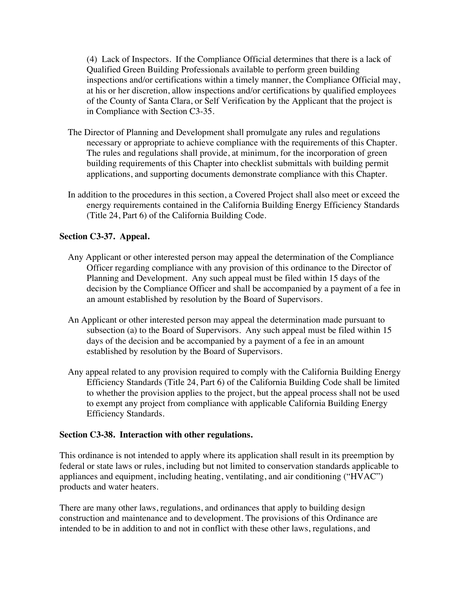(4) Lack of Inspectors. If the Compliance Official determines that there is a lack of Qualified Green Building Professionals available to perform green building inspections and/or certifications within a timely manner, the Compliance Official may, at his or her discretion, allow inspections and/or certifications by qualified employees of the County of Santa Clara, or Self Verification by the Applicant that the project is in Compliance with Section C3-35.

- The Director of Planning and Development shall promulgate any rules and regulations necessary or appropriate to achieve compliance with the requirements of this Chapter. The rules and regulations shall provide, at minimum, for the incorporation of green building requirements of this Chapter into checklist submittals with building permit applications, and supporting documents demonstrate compliance with this Chapter.
- In addition to the procedures in this section, a Covered Project shall also meet or exceed the energy requirements contained in the California Building Energy Efficiency Standards (Title 24, Part 6) of the California Building Code.

#### **Section C3-37. Appeal.**

- Any Applicant or other interested person may appeal the determination of the Compliance Officer regarding compliance with any provision of this ordinance to the Director of Planning and Development. Any such appeal must be filed within 15 days of the decision by the Compliance Officer and shall be accompanied by a payment of a fee in an amount established by resolution by the Board of Supervisors.
- An Applicant or other interested person may appeal the determination made pursuant to subsection (a) to the Board of Supervisors. Any such appeal must be filed within 15 days of the decision and be accompanied by a payment of a fee in an amount established by resolution by the Board of Supervisors.
- Any appeal related to any provision required to comply with the California Building Energy Efficiency Standards (Title 24, Part 6) of the California Building Code shall be limited to whether the provision applies to the project, but the appeal process shall not be used to exempt any project from compliance with applicable California Building Energy Efficiency Standards.

#### **Section C3-38. Interaction with other regulations.**

This ordinance is not intended to apply where its application shall result in its preemption by federal or state laws or rules, including but not limited to conservation standards applicable to appliances and equipment, including heating, ventilating, and air conditioning ("HVAC") products and water heaters.

There are many other laws, regulations, and ordinances that apply to building design construction and maintenance and to development. The provisions of this Ordinance are intended to be in addition to and not in conflict with these other laws, regulations, and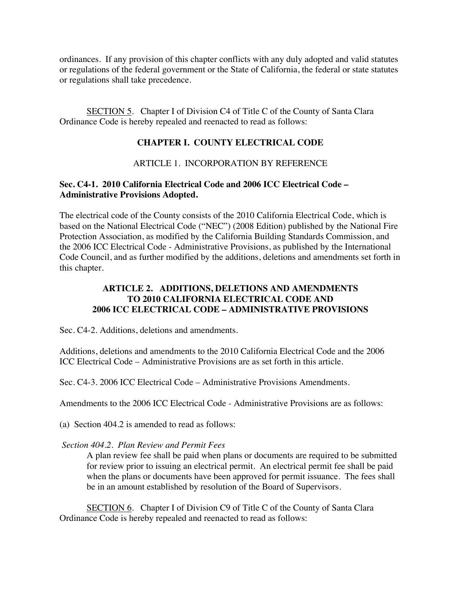ordinances. If any provision of this chapter conflicts with any duly adopted and valid statutes or regulations of the federal government or the State of California, the federal or state statutes or regulations shall take precedence.

SECTION 5. Chapter I of Division C4 of Title C of the County of Santa Clara Ordinance Code is hereby repealed and reenacted to read as follows:

#### **CHAPTER I. COUNTY ELECTRICAL CODE**

#### ARTICLE 1. INCORPORATION BY REFERENCE

#### **Sec. C4-1. 2010 California Electrical Code and 2006 ICC Electrical Code – Administrative Provisions Adopted.**

The electrical code of the County consists of the 2010 California Electrical Code, which is based on the National Electrical Code ("NEC") (2008 Edition) published by the National Fire Protection Association, as modified by the California Building Standards Commission, and the 2006 ICC Electrical Code - Administrative Provisions, as published by the International Code Council, and as further modified by the additions, deletions and amendments set forth in this chapter.

#### **ARTICLE 2. ADDITIONS, DELETIONS AND AMENDMENTS TO 2010 CALIFORNIA ELECTRICAL CODE AND 2006 ICC ELECTRICAL CODE – ADMINISTRATIVE PROVISIONS**

Sec. C4-2. Additions, deletions and amendments.

Additions, deletions and amendments to the 2010 California Electrical Code and the 2006 ICC Electrical Code – Administrative Provisions are as set forth in this article.

Sec. C4-3. 2006 ICC Electrical Code – Administrative Provisions Amendments.

Amendments to the 2006 ICC Electrical Code - Administrative Provisions are as follows:

(a) Section 404.2 is amended to read as follows:

*Section 404.2. Plan Review and Permit Fees*

A plan review fee shall be paid when plans or documents are required to be submitted for review prior to issuing an electrical permit. An electrical permit fee shall be paid when the plans or documents have been approved for permit issuance. The fees shall be in an amount established by resolution of the Board of Supervisors.

SECTION 6. Chapter I of Division C9 of Title C of the County of Santa Clara Ordinance Code is hereby repealed and reenacted to read as follows: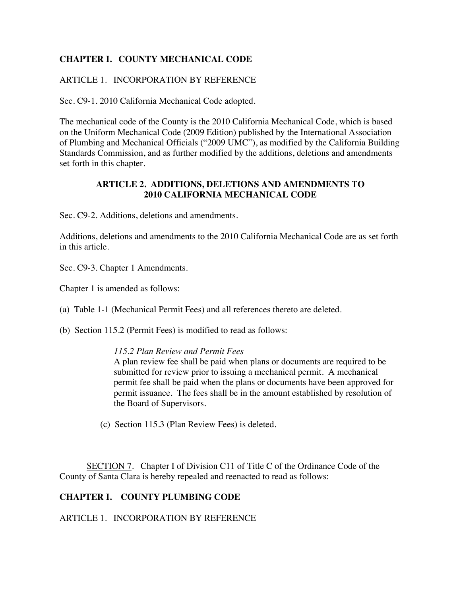#### **CHAPTER I. COUNTY MECHANICAL CODE**

#### ARTICLE 1. INCORPORATION BY REFERENCE

Sec. C9-1. 2010 California Mechanical Code adopted.

The mechanical code of the County is the 2010 California Mechanical Code, which is based on the Uniform Mechanical Code (2009 Edition) published by the International Association of Plumbing and Mechanical Officials ("2009 UMC"), as modified by the California Building Standards Commission, and as further modified by the additions, deletions and amendments set forth in this chapter.

#### **ARTICLE 2. ADDITIONS, DELETIONS AND AMENDMENTS TO 2010 CALIFORNIA MECHANICAL CODE**

Sec. C9-2. Additions, deletions and amendments.

Additions, deletions and amendments to the 2010 California Mechanical Code are as set forth in this article.

Sec. C9-3. Chapter 1 Amendments.

Chapter 1 is amended as follows:

- (a) Table 1-1 (Mechanical Permit Fees) and all references thereto are deleted.
- (b) Section 115.2 (Permit Fees) is modified to read as follows:

#### *115.2 Plan Review and Permit Fees*

A plan review fee shall be paid when plans or documents are required to be submitted for review prior to issuing a mechanical permit. A mechanical permit fee shall be paid when the plans or documents have been approved for permit issuance. The fees shall be in the amount established by resolution of the Board of Supervisors.

(c) Section 115.3 (Plan Review Fees) is deleted.

SECTION 7. Chapter I of Division C11 of Title C of the Ordinance Code of the County of Santa Clara is hereby repealed and reenacted to read as follows:

#### **CHAPTER I. COUNTY PLUMBING CODE**

ARTICLE 1. INCORPORATION BY REFERENCE